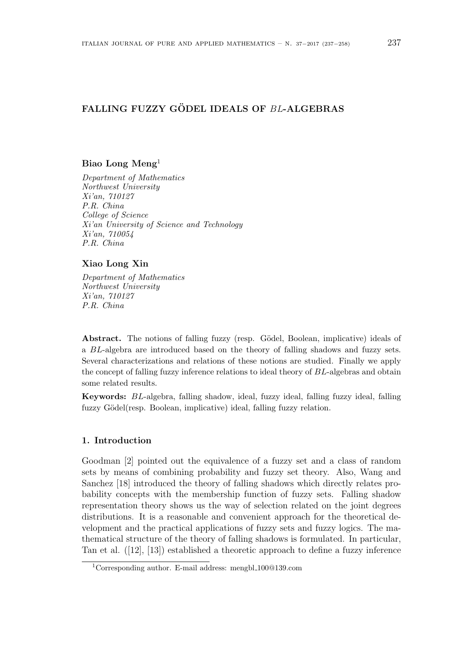# **FALLING FUZZY GÖDEL IDEALS OF BL-ALGEBRAS**

## **Biao Long Meng**<sup>1</sup>

*Department of Mathematics Northwest University Xi'an, 710127 P.R. China College of Science Xi'an University of Science and Technology Xi'an, 710054 P.R. China*

### **Xiao Long Xin**

*Department of Mathematics Northwest University Xi'an, 710127 P.R. China*

**Abstract.** The notions of falling fuzzy (resp. Gödel, Boolean, implicative) ideals of a *BL*-algebra are introduced based on the theory of falling shadows and fuzzy sets. Several characterizations and relations of these notions are studied. Finally we apply the concept of falling fuzzy inference relations to ideal theory of *BL*-algebras and obtain some related results.

**Keywords:** *BL*-algebra, falling shadow, ideal, fuzzy ideal, falling fuzzy ideal, falling fuzzy Gödel(resp. Boolean, implicative) ideal, falling fuzzy relation.

### **1. Introduction**

Goodman [2] pointed out the equivalence of a fuzzy set and a class of random sets by means of combining probability and fuzzy set theory. Also, Wang and Sanchez [18] introduced the theory of falling shadows which directly relates probability concepts with the membership function of fuzzy sets. Falling shadow representation theory shows us the way of selection related on the joint degrees distributions. It is a reasonable and convenient approach for the theoretical development and the practical applications of fuzzy sets and fuzzy logics. The mathematical structure of the theory of falling shadows is formulated. In particular, Tan et al. ([12], [13]) established a theoretic approach to define a fuzzy inference

<sup>1</sup>Corresponding author. E-mail address: mengbl 100@139.com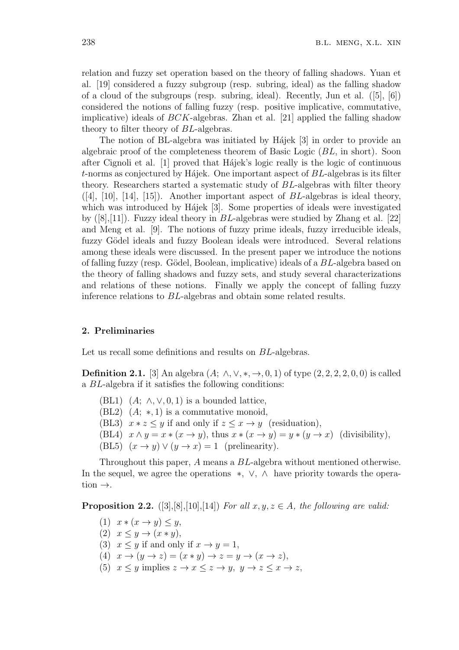relation and fuzzy set operation based on the theory of falling shadows. Yuan et al. [19] considered a fuzzy subgroup (resp. subring, ideal) as the falling shadow of a cloud of the subgroups (resp. subring, ideal). Recently, Jun et al. ([5], [6]) considered the notions of falling fuzzy (resp. positive implicative, commutative, implicative) ideals of *BCK*-algebras. Zhan et al. [21] applied the falling shadow theory to filter theory of *BL*-algebras.

The notion of BL-algebra was initiated by Hajek [3] in order to provide an algebraic proof of the completeness theorem of Basic Logic (*BL*, in short). Soon after Cignoli et al. [1] proved that Hájek's logic really is the logic of continuous *t*-norms as conjectured by H<sub>ajek</sub>. One important aspect of *BL*-algebras is its filter theory. Researchers started a systematic study of *BL*-algebras with filter theory ([4], [10], [14], [15]). Another important aspect of *BL*-algebras is ideal theory, which was introduced by Hájek [3]. Some properties of ideals were investigated by ([8],[11]). Fuzzy ideal theory in *BL*-algebras were studied by Zhang et al. [22] and Meng et al. [9]. The notions of fuzzy prime ideals, fuzzy irreducible ideals, fuzzy Gödel ideals and fuzzy Boolean ideals were introduced. Several relations among these ideals were discussed. In the present paper we introduce the notions of falling fuzzy (resp. G¨odel, Boolean, implicative) ideals of a *BL*-algebra based on the theory of falling shadows and fuzzy sets, and study several characterizations and relations of these notions. Finally we apply the concept of falling fuzzy inference relations to *BL*-algebras and obtain some related results.

### **2. Preliminaries**

Let us recall some definitions and results on *BL*-algebras.

**Definition 2.1.** [3] An algebra  $(A; \wedge, \vee, *, \rightarrow, 0, 1)$  of type  $(2, 2, 2, 2, 0, 0)$  is called a *BL*-algebra if it satisfies the following conditions:

- (BL1)  $(A; \wedge, \vee, 0, 1)$  is a bounded lattice,
- (BL2) (*A*; *∗,* 1) is a commutative monoid,
- (BL3)  $x * z \leq y$  if and only if  $z \leq x \rightarrow y$  (residuation),
- (BL4)  $x \wedge y = x * (x \rightarrow y)$ , thus  $x * (x \rightarrow y) = y * (y \rightarrow x)$  (divisibility),
- (BL5)  $(x \rightarrow y) \vee (y \rightarrow x) = 1$  (prelinearity).

Throughout this paper, *A* means a *BL*-algebra without mentioned otherwise. In the sequel, we agree the operations *∗, ∨, ∧* have priority towards the operation *→*.

**Proposition 2.2.** ([3],[8],[10],[14]) *For all*  $x, y, z \in A$ *, the following are valid:* 

- $(1)$   $x * (x \rightarrow y) \leq y$ ,
- $(2)$   $x \leq y \rightarrow (x * y),$
- (3)  $x \leq y$  if and only if  $x \to y = 1$ ,
- (4)  $x \rightarrow (y \rightarrow z) = (x * y) \rightarrow z = y \rightarrow (x \rightarrow z),$
- (5)  $x \leq y$  implies  $z \to x \leq z \to y$ ,  $y \to z \leq x \to z$ ,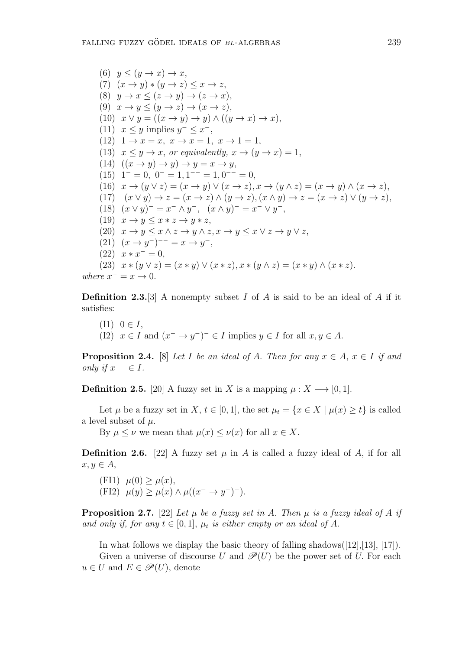(6)  $y \leq (y \rightarrow x) \rightarrow x$ , (7)  $(x \rightarrow y) * (y \rightarrow z) \leq x \rightarrow z$ , (8)  $y \to x \leq (z \to y) \to (z \to x),$ (9)  $x \to y \leq (y \to z) \to (x \to z),$  $(10)$   $x \lor y = ((x \rightarrow y) \rightarrow y) \land ((y \rightarrow x) \rightarrow x),$  $(11)$   $x \leq y$  implies  $y^- \leq x^-$ ,  $(12)$   $1 \rightarrow x = x, x \rightarrow x = 1, x \rightarrow 1 = 1,$ (13)  $x \leq y \to x$ , or equivalently,  $x \to (y \to x) = 1$ ,  $(14)$   $((x \rightarrow y) \rightarrow y) \rightarrow y = x \rightarrow y$ ,  $(15)$  1<sup>-</sup> = 0, 0<sup>-</sup> = 1, 1<sup>--</sup> = 1, 0<sup>--</sup> = 0, (16)  $x \to (y \lor z) = (x \to y) \lor (x \to z), x \to (y \land z) = (x \to y) \land (x \to z),$ (17)  $(x \vee y) \rightarrow z = (x \rightarrow z) \wedge (y \rightarrow z), (x \wedge y) \rightarrow z = (x \rightarrow z) \vee (y \rightarrow z),$ (18)  $(x \vee y)^{-} = x^{-} \wedge y^{-}, \quad (x \wedge y)^{-} = x^{-} \vee y^{-},$  $(19)$   $x \rightarrow y \leq x * z \rightarrow y * z$ , (20)  $x \to y \leq x \land z \to y \land z, x \to y \leq x \lor z \to y \lor z$ ,  $(21)$   $(x \to y^-)^{--} = x \to y^-,$  $(22)$   $x * x^- = 0$ , (23)  $x * (y \vee z) = (x * y) \vee (x * z), x * (y \wedge z) = (x * y) \wedge (x * z).$ *where*  $x^- = x \to 0$ *.* 

**Definition 2.3.**[3] A nonempty subset *I* of *A* is said to be an ideal of *A* if it satisfies:

(11) 
$$
0 \in I
$$
,  
(12)  $x \in I$  and  $(x^- \to y^-)^- \in I$  implies  $y \in I$  for all  $x, y \in A$ .

**Proposition 2.4.** [8] *Let I be an ideal of A. Then for any*  $x \in A$ ,  $x \in I$  *if and only if*  $x^{-−}$  ∈ *I.* 

**Definition 2.5.** [20] A fuzzy set in *X* is a mapping  $\mu: X \rightarrow [0, 1]$ *.* 

Let  $\mu$  be a fuzzy set in  $X, t \in [0, 1]$ , the set  $\mu_t = \{x \in X \mid \mu(x) \geq t\}$  is called a level subset of *µ*.

By  $\mu \leq \nu$  we mean that  $\mu(x) \leq \nu(x)$  for all  $x \in X$ .

**Definition 2.6.** [22] A fuzzy set  $\mu$  in *A* is called a fuzzy ideal of *A*, if for all  $x, y ∈ A$ ,

 $(\text{FI1})$   $\mu(0) \geq \mu(x),$  $(\text{FI2})$   $\mu(y) \geq \mu(x) \land \mu((x^{-} \rightarrow y^{-})^{-}).$ 

**Proposition 2.7.** [22] *Let*  $\mu$  *be a fuzzy set in A. Then*  $\mu$  *is a fuzzy ideal of A if and only if, for any*  $t \in [0, 1]$ *,*  $\mu_t$  *is either empty or an ideal of A.* 

In what follows we display the basic theory of falling shadows $([12],[13],[17])$ . Given a universe of discourse *U* and  $\mathscr{P}(U)$  be the power set of *U*. For each  $u \in U$  and  $E \in \mathscr{P}(U)$ , denote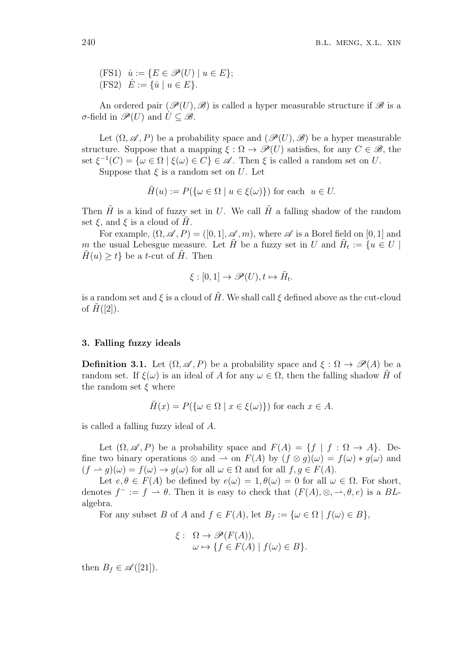$(iFS1)$   $\dot{u} := \{ E \in \mathscr{P}(U) \mid u \in E \};$  $(FS2)$   $\dot{E} := \{ \dot{u} \mid u \in E \}.$ 

An ordered pair  $(\mathscr{P}(U), \mathscr{B})$  is called a hyper measurable structure if  $\mathscr{B}$  is a  $\sigma$ -field in  $\mathscr{P}(U)$  and  $U \subseteq \mathscr{B}$ .

Let  $(\Omega, \mathscr{A}, P)$  be a probability space and  $(\mathscr{P}(U), \mathscr{B})$  be a hyper measurable structure. Suppose that a mapping  $\xi : \Omega \to \mathscr{P}(U)$  satisfies, for any  $C \in \mathscr{B}$ , the set  $\xi^{-1}(C) = \{ \omega \in \Omega \mid \xi(\omega) \in C \} \in \mathcal{A}$ . Then  $\xi$  is called a random set on *U*.

Suppose that  $\xi$  is a random set on  $U$ . Let

$$
\tilde{H}(u) := P(\{\omega \in \Omega \mid u \in \xi(\omega)\})
$$
 for each  $u \in U$ .

Then  $\tilde{H}$  is a kind of fuzzy set in *U*. We call  $\tilde{H}$  a falling shadow of the random set  $\xi$ , and  $\xi$  is a cloud of  $H$ .

For example,  $(\Omega, \mathscr{A}, P) = ([0, 1], \mathscr{A}, m)$ , where  $\mathscr{A}$  is a Borel field on [0, 1] and *m* the usual Lebesgue measure. Let  $\tilde{H}$  be a fuzzy set in *U* and  $\tilde{H}_t := \{u \in U \mid$  $H(u) \geq t$  be a *t*-cut of  $H$ . Then

$$
\xi : [0,1] \to \mathscr{P}(U), t \mapsto \tilde{H}_t.
$$

is a random set and  $\xi$  is a cloud of  $H$ . We shall call  $\xi$  defined above as the cut-cloud of  $H([2])$ .

### **3. Falling fuzzy ideals**

**Definition 3.1.** Let  $(\Omega, \mathscr{A}, P)$  be a probability space and  $\xi : \Omega \to \mathscr{P}(A)$  be a random set. If  $\xi(\omega)$  is an ideal of *A* for any  $\omega \in \Omega$ , then the falling shadow *H* of the random set *ξ* where

$$
\tilde{H}(x) = P(\{\omega \in \Omega \mid x \in \xi(\omega)\})
$$
 for each  $x \in A$ .

is called a falling fuzzy ideal of *A*.

Let  $(\Omega, \mathscr{A}, P)$  be a probability space and  $F(A) = \{f \mid f : \Omega \to A\}$ . Define two binary operations  $\otimes$  and  $\rightarrow$  on  $F(A)$  by  $(f \otimes g)(\omega) = f(\omega) * g(\omega)$  and  $(f \to g)(\omega) = f(\omega) \to g(\omega)$  for all  $\omega \in \Omega$  and for all  $f, g \in F(A)$ .

Let  $e, \theta \in F(A)$  be defined by  $e(\omega) = 1, \theta(\omega) = 0$  for all  $\omega \in \Omega$ . For short, denotes  $f^- := f \to \theta$ . Then it is easy to check that  $(F(A), \otimes, \to, \theta, e)$  is a *BL*algebra.

For any subset *B* of *A* and  $f \in F(A)$ , let  $B_f := \{ \omega \in \Omega \mid f(\omega) \in B \}$ ,

$$
\xi: \ \Omega \to \mathscr{P}(F(A)),
$$
  

$$
\omega \mapsto \{f \in F(A) \mid f(\omega) \in B\}.
$$

then  $B_f \in \mathscr{A}([21])$ .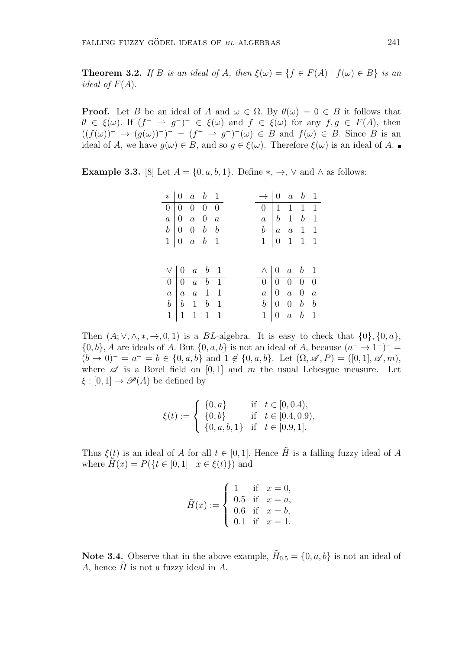**Theorem 3.2.** *If B is an ideal of A, then*  $\xi(\omega) = \{f \in F(A) \mid f(\omega) \in B\}$  *is an ideal of*  $F(A)$ .

**Proof.** Let *B* be an ideal of *A* and  $\omega \in \Omega$ . By  $\theta(\omega) = 0 \in B$  it follows that  $\theta \in \xi(\omega)$ . If  $(f^{-} \to g^{-})^{-} \in \xi(\omega)$  and  $f \in \xi(\omega)$  for any  $f, g \in F(A)$ , then  $((f(\omega))^{-} \rightarrow (g(\omega))^{-})^{-} = (f^{-} \rightarrow g^{-})^{-}(\omega) \in B$  and  $f(\omega) \in B$ . Since *B* is an ideal of *A*, we have  $g(\omega) \in B$ , and so  $g \in \xi(\omega)$ . Therefore  $\xi(\omega)$  is an ideal of *A*.

**Example 3.3.** [8] Let  $A = \{0, a, b, 1\}$ . Define  $*, \rightarrow, \vee$  and  $\wedge$  as follows:

| $*   0 a b 1$                                                                                                               |  |                                                             |  | $\rightarrow$   0 a b 1 |                                                                                                                      |                                                                                                                               |
|-----------------------------------------------------------------------------------------------------------------------------|--|-------------------------------------------------------------|--|-------------------------|----------------------------------------------------------------------------------------------------------------------|-------------------------------------------------------------------------------------------------------------------------------|
|                                                                                                                             |  |                                                             |  |                         |                                                                                                                      |                                                                                                                               |
|                                                                                                                             |  |                                                             |  |                         |                                                                                                                      |                                                                                                                               |
|                                                                                                                             |  |                                                             |  |                         |                                                                                                                      |                                                                                                                               |
| $\begin{array}{c cccc} a & 0 & a & 0 & a \\ b & 0 & 0 & b & b \\ 1 & 0 & a & b & 1 \end{array}$                             |  |                                                             |  |                         |                                                                                                                      | $\begin{tabular}{c cccccc} 0 & 1 & 1 & 1 & 1 \\ a & b & 1 & b & 1 \\ b & a & a & 1 & 1 \\ 1 & 0 & 1 & 1 & 1 \\ \end{tabular}$ |
|                                                                                                                             |  |                                                             |  |                         |                                                                                                                      |                                                                                                                               |
|                                                                                                                             |  |                                                             |  |                         |                                                                                                                      |                                                                                                                               |
|                                                                                                                             |  |                                                             |  |                         |                                                                                                                      |                                                                                                                               |
| $\vee$ 0 a b 1                                                                                                              |  |                                                             |  |                         | $\wedge$ 0 a b 1                                                                                                     |                                                                                                                               |
|                                                                                                                             |  |                                                             |  |                         |                                                                                                                      |                                                                                                                               |
|                                                                                                                             |  | $\boxed{0}$ $\boxed{0}$ $\boxed{a}$ $\boxed{b}$ $\boxed{1}$ |  |                         |                                                                                                                      |                                                                                                                               |
| $a \begin{vmatrix} a & a & 1 & 1 \end{vmatrix}$<br>$\begin{array}{c cccc}\nb & b & 1 & b & 1 \\ 1 & 1 & 1 & 1\n\end{array}$ |  |                                                             |  |                         | $\begin{array}{c cccc} 0 & 0 & 0 & 0 & 0 \\ a & 0 & a & 0 & a \\ b & 0 & 0 & b & b \\ 1 & 0 & a & b & 1 \end{array}$ |                                                                                                                               |

Then  $(A; \vee, \wedge, *, \rightarrow, 0, 1)$  is a *BL*-algebra. It is easy to check that  $\{0\}, \{0, a\}$ ,  $\{0, b\}$ , *A* are ideals of *A*. But  $\{0, a, b\}$  is not an ideal of *A*, because  $(a^- \rightarrow 1^-)^ (b \to 0)^{-} = a^{-} = b \in \{0, a, b\}$  and  $1 \notin \{0, a, b\}$ . Let  $(\Omega, \mathscr{A}, P) = ([0, 1], \mathscr{A}, m)$ , where  $\mathscr A$  is a Borel field on [0,1] and *m* the usual Lebesgue measure. Let  $\xi$  :  $[0,1] \rightarrow \mathscr{P}(A)$  be defined by

$$
\xi(t) := \begin{cases} \{0, a\} & \text{if } t \in [0, 0.4), \\ \{0, b\} & \text{if } t \in [0.4, 0.9), \\ \{0, a, b, 1\} & \text{if } t \in [0.9, 1]. \end{cases}
$$

Thus  $\xi(t)$  is an ideal of *A* for all  $t \in [0,1]$ *.* Hence  $\tilde{H}$  is a falling fuzzy ideal of *A* where  $H(x) = P({t \in [0,1] | x \in \xi(t)})$  and

$$
\tilde{H}(x) := \begin{cases}\n1 & \text{if } x = 0, \\
0.5 & \text{if } x = a, \\
0.6 & \text{if } x = b, \\
0.1 & \text{if } x = 1.\n\end{cases}
$$

**Note 3.4.** Observe that in the above example,  $H_{0.5} = \{0, a, b\}$  is not an ideal of *A*, hence *H*˜ is not a fuzzy ideal in *A*.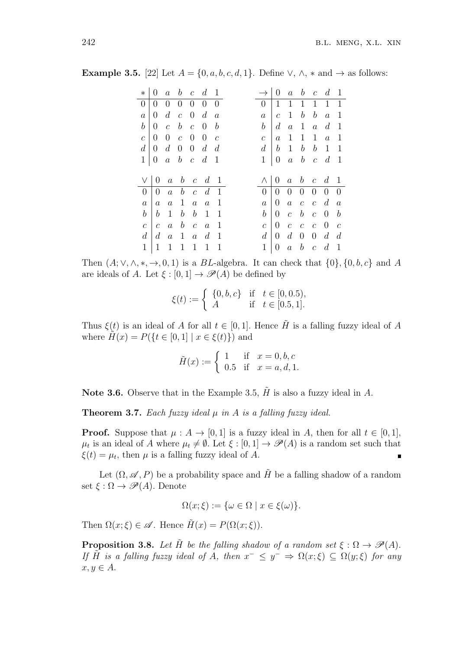| $\ast$           | $\overline{0}$   | $a \quad b \quad c \quad d \quad 1$ |                                  |                                     |                             |                | $\rightarrow$         | $\overline{0}$   |                  |                             |                                                                | $a \quad b \quad c \quad d \quad 1$ |                          |
|------------------|------------------|-------------------------------------|----------------------------------|-------------------------------------|-----------------------------|----------------|-----------------------|------------------|------------------|-----------------------------|----------------------------------------------------------------|-------------------------------------|--------------------------|
| 0 <sup>1</sup>   |                  | $0\quad 0\quad 0$                   |                                  | $0\quad 0\quad 0$                   |                             |                | 0 <sup>1</sup>        | $\mathbf{1}$     | $\mathbf{1}$     | $\mathbf{1}$                |                                                                | $1 \quad 1 \quad \overline{1}$      |                          |
| $\boldsymbol{a}$ | $\overline{0}$   | $d\,c\,0$                           |                                  |                                     | $\overline{d}$              | $\overline{a}$ | $\boldsymbol{a}$      | $\mathcal{C}$    | $\mathbf{1}$     | $\boldsymbol{b}$            | $\boldsymbol{b}$                                               | $\overline{a}$                      | $\overline{1}$           |
| $b^-$            | $\overline{0}$   | $\boldsymbol{c}$                    | $\boldsymbol{b}$                 | $c\quad 0\quad b$                   |                             |                | $\boldsymbol{b}$      | $\boldsymbol{d}$ | $\boldsymbol{a}$ | $\overline{1}$              | $\boldsymbol{a}$                                               | d <sub>1</sub>                      |                          |
| $\boldsymbol{c}$ | $\overline{0}$   | $0\quad c\quad 0$                   |                                  |                                     | $\overline{0}$              | $\mathcal{C}$  | $\overline{c}$        | $\boldsymbol{a}$ | $\mathbf{1}$     | $\mathbf{1}$                | $\mathbf{1}$                                                   | $a \quad 1$                         |                          |
| $d\mid$          |                  | $0 \t d \t 0 \t 0 \t d \t d$        |                                  |                                     |                             |                | d                     | $\boldsymbol{b}$ | $\mathbf{1}$     | $\boldsymbol{b}$            | $\boldsymbol{b}$                                               | $1\quad1$                           |                          |
|                  | $1 \mid 0$       | $\boldsymbol{a}$                    |                                  | $b\quad c\quad d\quad 1$            |                             |                | $\mathbf{1}$          | $\theta$         | $\boldsymbol{a}$ |                             |                                                                | $b\quad c\quad d\quad 1$            |                          |
|                  |                  |                                     |                                  |                                     |                             |                |                       |                  |                  |                             |                                                                |                                     |                          |
|                  | $\vee$   0       |                                     |                                  | $a \quad b \quad c \quad d \quad 1$ |                             |                | Λ                     |                  |                  |                             | $\begin{array}{ccccccccc}\n0 & a & b & c & d & 1\n\end{array}$ |                                     |                          |
| $\overline{0}$   | $\overline{0}$   |                                     |                                  |                                     |                             |                |                       |                  |                  |                             |                                                                |                                     |                          |
|                  |                  | a                                   |                                  |                                     | $b \quad c \quad d \quad 1$ |                | ()                    | $\overline{0}$   |                  |                             | $0\quad 0\quad 0\quad 0$                                       |                                     | $\overline{\phantom{0}}$ |
| $\boldsymbol{a}$ | $\boldsymbol{a}$ | $\boldsymbol{a}$                    |                                  |                                     | $a \quad a$                 | $\overline{1}$ | $\boldsymbol{a}$      | $\boldsymbol{0}$ | $\overline{a}$   | $c\ \ c$                    |                                                                | $d \, a$                            |                          |
| $\boldsymbol{b}$ | b                | $\mathbf{1}$                        | $\mathbf{1}$<br>$\boldsymbol{b}$ | $\boldsymbol{b}$                    | $\overline{1}$              | $\mathbf{1}$   | b                     | $\overline{0}$   | $\bar{c}$        |                             | $\boldsymbol{c}$                                               | $\overline{0}$                      | $\bar{b}$                |
| $\mathcal{C}$    | $\mathcal{C}$    | $\boldsymbol{a}$                    |                                  | $b\quad c$                          | $\overline{a}$              | $\overline{1}$ | $\mathcal{C}_{0}^{0}$ | $\theta$         | $\boldsymbol{c}$ | $\boldsymbol{b}$<br>$c\, c$ |                                                                | $\overline{0}$                      | $\mathcal{C}$            |
| d<br>1           | $\overline{d}$   | $\boldsymbol{a}$<br>$\mathbf{1}$    | $\mathbf{1}$                     | $\boldsymbol{a}$                    | $\overline{d}$              | $\overline{1}$ | d                     | $\overline{0}$   | $d_{\cdot}$      | $\overline{0}$              | $\overline{0}$                                                 | $d \, d$                            |                          |

**Example 3.5.** [22] Let  $A = \{0, a, b, c, d, 1\}$ . Define  $\vee$ ,  $\wedge$ ,  $*$  and  $\rightarrow$  as follows:

Then  $(A; \vee, \wedge, *, \rightarrow, 0, 1)$  is a *BL*-algebra. It can check that  $\{0\}, \{0, b, c\}$  and *A* are ideals of *A*. Let  $\xi$  : [0, 1]  $\rightarrow \mathcal{P}(A)$  be defined by

$$
\xi(t) := \begin{cases} \{0, b, c\} & \text{if} \quad t \in [0, 0.5), \\ A & \text{if} \quad t \in [0.5, 1]. \end{cases}
$$

Thus  $\xi(t)$  is an ideal of *A* for all  $t \in [0,1]$ *.* Hence  $\tilde{H}$  is a falling fuzzy ideal of *A* where  $\tilde{H}(x) = P({t \in [0,1] | x \in \xi(t)})$  and

$$
\tilde{H}(x) := \begin{cases} 1 & \text{if } x = 0, b, c \\ 0.5 & \text{if } x = a, d, 1. \end{cases}
$$

**Note 3.6.** Observe that in the Example 3.5,  $\hat{H}$  is also a fuzzy ideal in  $\hat{A}$ .

**Theorem 3.7.** *Each fuzzy ideal µ in A is a falling fuzzy ideal.*

**Proof.** Suppose that  $\mu : A \to [0, 1]$  is a fuzzy ideal in *A*, then for all  $t \in [0, 1]$ ,  $\mu_t$  is an ideal of *A* where  $\mu_t \neq \emptyset$ . Let  $\xi : [0,1] \to \mathscr{P}(A)$  is a random set such that  $\xi(t) = \mu_t$ , then  $\mu$  is a falling fuzzy ideal of *A*. н

Let  $(\Omega, \mathscr{A}, P)$  be a probability space and  $\tilde{H}$  be a falling shadow of a random set  $\xi : \Omega \to \mathscr{P}(A)$ . Denote

$$
\Omega(x;\xi) := \{ \omega \in \Omega \mid x \in \xi(\omega) \}.
$$

Then  $\Omega(x;\xi) \in \mathscr{A}$ . Hence  $\tilde{H}(x) = P(\Omega(x;\xi))$ .

**Proposition 3.8.** *Let*  $\tilde{H}$  *be the falling shadow of a random set*  $\xi : \Omega \to \mathcal{P}(A)$ *. If*  $H$ <sup>*is a falling fuzzy ideal of <i>A, then*  $x^- \leq y^- \Rightarrow \Omega(x;\xi) \subseteq \Omega(y;\xi)$  *for any*</sup>  $x, y \in A$ .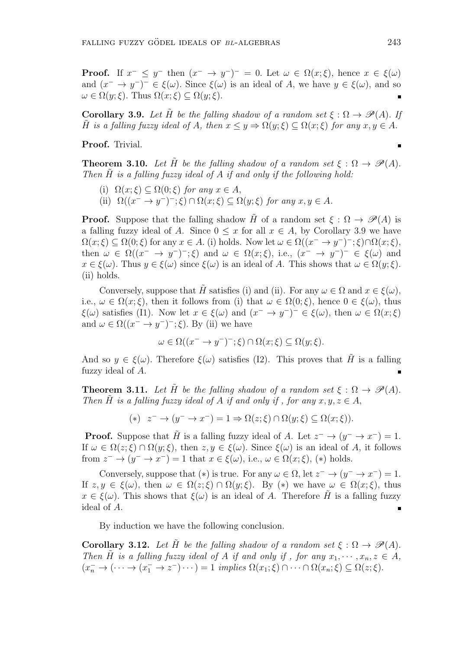$\blacksquare$ 

**Proof.** If  $x^- \leq y^-$  then  $(x^- \to y^-)^- = 0$ . Let  $\omega \in \Omega(x;\xi)$ , hence  $x \in \xi(\omega)$ and  $(x^{-} \to y^{-})^{-} \in \xi(\omega)$ . Since  $\xi(\omega)$  is an ideal of *A*, we have  $y \in \xi(\omega)$ , and so  $\omega \in \Omega(y;\xi)$ . Thus  $\Omega(x;\xi) \subseteq \Omega(y;\xi)$ .

**Corollary 3.9.** Let  $\tilde{H}$  be the falling shadow of a random set  $\xi : \Omega \to \mathcal{P}(A)$ . If *H* is a falling fuzzy ideal of *A*, then  $x \leq y \Rightarrow \Omega(y;\xi) \subseteq \Omega(x;\xi)$  for any  $x, y \in A$ .

**Proof.** Trivial.

**Theorem 3.10.** *Let*  $\tilde{H}$  *be the falling shadow of a random set*  $\xi : \Omega \to \mathcal{P}(A)$ *. Then*  $\tilde{H}$  *is a falling fuzzy ideal of A if and only if the following hold:* 

- (i)  $\Omega(x;\xi) \subseteq \Omega(0;\xi)$  *for any*  $x \in A$ ,
- $(\text{iii})$   $\Omega((x^- \to y^-)^{-}; \xi) \cap \Omega(x;\xi) \subseteq \Omega(y;\xi)$  *for any*  $x, y \in A$ *.*

**Proof.** Suppose that the falling shadow *H* of a random set  $\xi : \Omega \to \mathscr{P}(A)$  is a falling fuzzy ideal of *A*. Since  $0 \leq x$  for all  $x \in A$ , by Corollary 3.9 we have  $\Omega(x;\xi) \subseteq \Omega(0;\xi)$  for any  $x \in A$ . (i) holds. Now let  $\omega \in \Omega((x^- \to y^-)^-;\xi) \cap \Omega(x;\xi)$ , then  $\omega \in \Omega((x^- \to y^-)^{-}; \xi)$  and  $\omega \in \Omega(x; \xi)$ , i.e.,  $(x^- \to y^-)^{-} \in \xi(\omega)$  and  $x \in \xi(\omega)$ . Thus  $y \in \xi(\omega)$  since  $\xi(\omega)$  is an ideal of *A*. This shows that  $\omega \in \Omega(y;\xi)$ . (ii) holds.

Conversely, suppose that  $\tilde{H}$  satisfies (i) and (ii). For any  $\omega \in \Omega$  and  $x \in \xi(\omega)$ , i.e.,  $\omega \in \Omega(x;\xi)$ , then it follows from (i) that  $\omega \in \Omega(0;\xi)$ , hence  $0 \in \xi(\omega)$ , thus *ξ*(*ω*) satisfies (I1). Now let  $x \in \xi(\omega)$  and  $(x^{-} \to y^{-})^{-} \in \xi(\omega)$ , then  $\omega \in \Omega(x;\xi)$ and  $\omega \in \Omega((x^- \to y^-)^{-}; \xi)$ . By (ii) we have

$$
\omega \in \Omega((x^- \to y^-)^{-}; \xi) \cap \Omega(x; \xi) \subseteq \Omega(y; \xi).
$$

And so  $y \in \mathcal{E}(\omega)$ . Therefore  $\mathcal{E}(\omega)$  satisfies (I2). This proves that  $\tilde{H}$  is a falling fuzzy ideal of *A*.

**Theorem 3.11.** Let  $\tilde{H}$  be the falling shadow of a random set  $\xi : \Omega \to \mathcal{P}(A)$ . *Then*  $\hat{H}$  *is a falling fuzzy ideal of*  $A$  *if and only if, for any*  $x, y, z \in A$ ,

$$
(*) \quad z^- \to (y^- \to x^-) = 1 \Rightarrow \Omega(z;\xi) \cap \Omega(y;\xi) \subseteq \Omega(x;\xi)).
$$

**Proof.** Suppose that  $\tilde{H}$  is a falling fuzzy ideal of *A*. Let  $z^- \to (y^- \to x^-) = 1$ . If  $\omega \in \Omega(z;\xi) \cap \Omega(y;\xi)$ , then  $z, y \in \xi(\omega)$ . Since  $\xi(\omega)$  is an ideal of *A*, it follows from  $z^- \to (y^- \to x^-) = 1$  that  $x \in \xi(\omega)$ , i.e.,  $\omega \in \Omega(x;\xi)$ ,  $(*)$  holds.

Conversely, suppose that  $(*)$  is true. For any  $\omega \in \Omega$ , let  $z^- \to (y^- \to x^-) = 1$ . If  $z, y \in \mathcal{E}(\omega)$ , then  $\omega \in \Omega(z;\mathcal{E}) \cap \Omega(y;\mathcal{E})$ . By  $(*)$  we have  $\omega \in \Omega(x;\mathcal{E})$ , thus  $x \in \mathcal{E}(\omega)$ . This shows that  $\mathcal{E}(\omega)$  is an ideal of *A*. Therefore *H* is a falling fuzzy ideal of *A*.

By induction we have the following conclusion.

**Corollary 3.12.** Let  $\tilde{H}$  be the falling shadow of a random set  $\xi : \Omega \to \mathscr{P}(A)$ . *Then*  $\hat{H}$  *is a falling fuzzy ideal of*  $A$  *if and only if, for any*  $x_1, \dots, x_n, z \in A$ ,  $(x_n^- \to (\dots \to (x_1^- \to z^-) \dots) = 1$  implies  $\Omega(x_1; \xi) \cap \dots \cap \Omega(x_n; \xi) \subseteq \Omega(z; \xi)$ .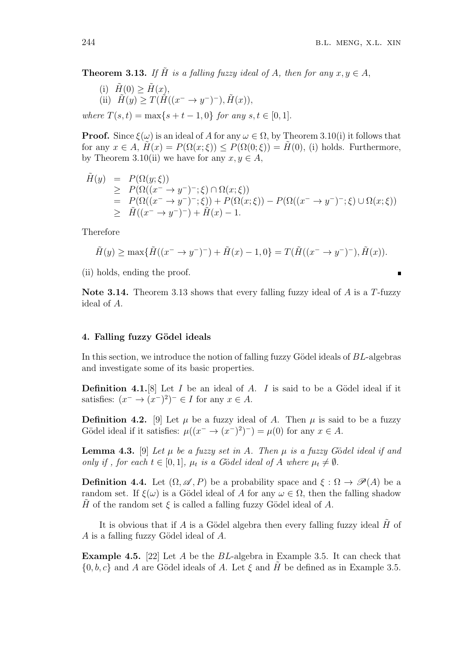**Theorem 3.13.** If  $\tilde{H}$  is a falling fuzzy ideal of A, then for any  $x, y \in A$ ,

(i) 
$$
\tilde{H}(0) \ge \tilde{H}(x)
$$
,  
\n(ii)  $\tilde{H}(y) \ge T(\tilde{H}((x^- \to y^-)^-), \tilde{H}(x))$ ,  
\nwhere  $T(s,t) = \max\{s+t-1,0\}$  for any  $s, t \in [0,1]$ .

**Proof.** Since  $\xi(\omega)$  is an ideal of *A* for any  $\omega \in \Omega$ , by Theorem 3.10(i) it follows that for any  $x \in A$ ,  $\tilde{H}(x) = P(\Omega(x; \xi)) \leq P(\Omega(0; \xi)) = H(0)$ , (i) holds. Furthermore, by Theorem 3.10(ii) we have for any  $x, y \in A$ ,

$$
\tilde{H}(y) = P(\Omega(y;\xi))
$$
\n
$$
\geq P(\Omega((x^{-} \to y^{-})^{-}; \xi) \cap \Omega(x;\xi))
$$
\n
$$
= P(\Omega((x^{-} \to y^{-})^{-}; \xi)) + P(\Omega(x;\xi)) - P(\Omega((x^{-} \to y^{-})^{-}; \xi) \cup \Omega(x;\xi))
$$
\n
$$
\geq \tilde{H}((x^{-} \to y^{-})^{-}) + \tilde{H}(x) - 1.
$$

Therefore

$$
\tilde{H}(y) \ge \max\{\tilde{H}((x^- \to y^-)^-) + \tilde{H}(x) - 1, 0\} = T(\tilde{H}((x^- \to y^-)^-), \tilde{H}(x)).
$$

(ii) holds, ending the proof.

**Note 3.14.** Theorem 3.13 shows that every falling fuzzy ideal of *A* is a *T*-fuzzy ideal of *A*.

### **4. Falling fuzzy G¨odel ideals**

In this section, we introduce the notion of falling fuzzy Gödel ideals of *BL*-algebras and investigate some of its basic properties.

**Definition 4.1.**[8] Let  $I$  be an ideal of  $A$ .  $I$  is said to be a Gödel ideal if it satisfies:  $(x^- \to (x^-)^2)^- \in I$  for any  $x \in A$ .

**Definition 4.2.** [9] Let  $\mu$  be a fuzzy ideal of *A*. Then  $\mu$  is said to be a fuzzy Gödel ideal if it satisfies:  $\mu((x^{-} \to (x^{-})^{2})^{-}) = \mu(0)$  for any  $x \in A$ .

**Lemma 4.3.** [9] Let  $\mu$  be a fuzzy set in A. Then  $\mu$  is a fuzzy Gödel ideal if and *only if, for each*  $t \in [0,1]$ *,*  $\mu_t$  *is a G*ödel ideal of *A* where  $\mu_t \neq \emptyset$ *.* 

**Definition 4.4.** Let  $(\Omega, \mathscr{A}, P)$  be a probability space and  $\xi : \Omega \to \mathscr{P}(A)$  be a random set. If  $\xi(\omega)$  is a Gödel ideal of *A* for any  $\omega \in \Omega$ , then the falling shadow *H* of the random set  $\xi$  is called a falling fuzzy Gödel ideal of *A*.

It is obvious that if *A* is a Gödel algebra then every falling fuzzy ideal  $\hat{H}$  of *A* is a falling fuzzy Gödel ideal of *A*.

**Example 4.5.** [22] Let *A* be the *BL*-algebra in Example 3.5. It can check that  $\{0, b, c\}$  and *A* are Gödel ideals of *A*. Let  $\xi$  and *H* be defined as in Example 3.5.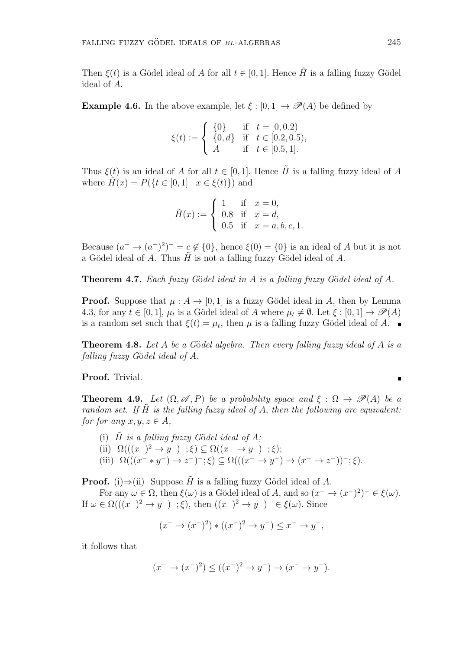Then  $\xi(t)$  is a Gödel ideal of *A* for all  $t \in [0,1]$ . Hence  $\tilde{H}$  is a falling fuzzy Gödel ideal of *A.*

**Example 4.6.** In the above example, let  $\xi$  : [0, 1]  $\rightarrow \mathcal{P}(A)$  be defined by

$$
\xi(t) := \begin{cases} \{0\} & \text{if} \quad t = [0, 0.2) \\ \{0, d\} & \text{if} \quad t \in [0.2, 0.5), \\ A & \text{if} \quad t \in [0.5, 1]. \end{cases}
$$

Thus  $\xi(t)$  is an ideal of *A* for all  $t \in [0,1]$ . Hence  $\tilde{H}$  is a falling fuzzy ideal of *A* where  $H(x) = P({t \in [0,1] | x \in \xi(t)})$  and

$$
\tilde{H}(x) := \begin{cases}\n1 & \text{if } x = 0, \\
0.8 & \text{if } x = d, \\
0.5 & \text{if } x = a, b, c, 1.\n\end{cases}
$$

Because  $(a^- \to (a^-)^2)^- = c \notin \{0\}$ , hence  $\xi(0) = \{0\}$  is an ideal of *A* but it is not a G¨odel ideal of *A*. Thus *H*˜ is not a falling fuzzy G¨odel ideal of *A*.

**Theorem 4.7.** *Each fuzzy G*¨o*del ideal in A is a falling fuzzy G*¨o*del ideal of A.*

**Proof.** Suppose that  $\mu$  :  $A \rightarrow [0, 1]$  is a fuzzy Gödel ideal in A, then by Lemma 4.3, for any  $t \in [0,1]$ ,  $\mu_t$  is a Gödel ideal of *A* where  $\mu_t \neq \emptyset$ . Let  $\xi : [0,1] \to \mathscr{P}(A)$ is a random set such that  $\xi(t) = \mu_t$ , then  $\mu$  is a falling fuzzy Gödel ideal of *A*.

**Theorem 4.8.** Let *A* be a Gödel algebra. Then every falling fuzzy ideal of *A* is a *falling fuzzy G*¨o*del ideal of A.*

**Proof.** Trivial.

**Theorem 4.9.** Let  $(\Omega, \mathscr{A}, P)$  be a probability space and  $\xi : \Omega \to \mathscr{P}(A)$  be a *random set.* If  $\tilde{H}$  *is the falling fuzzy ideal of*  $A$ *, then the following are equivalent: for for any*  $x, y, z \in A$ ,

(i)  $\tilde{H}$  *is a falling fuzzy G*ödel ideal of  $A$ ;

(ii)  $\Omega(((x^-)^2 \to y^-)^{-}; \xi) \subseteq \Omega((x^- \to y^-)^{-}; \xi);$ 

(iii)  $\Omega(((x^{-} * y^{-}) \to z^{-})^{-}; \xi) \subseteq \Omega(((x^{-} \to y^{-}) \to (x^{-} \to z^{-}))^{-}; \xi).$ 

**Proof.** (i) $\Rightarrow$ (ii) Suppose  $\tilde{H}$  is a falling fuzzy Gödel ideal of *A*.

For any  $\omega \in \Omega$ , then  $\xi(\omega)$  is a Gödel ideal of *A*, and so  $(x^- \to (x^-)^2)^- \in \xi(\omega)$ . If  $\omega \in \Omega((x^{-})^2 \to y^{-})^{-}$ ;  $\xi$ ), then  $((x^{-})^2 \to y^{-})^{-} \in \xi(\omega)$ . Since

$$
(x^- \to (x^-)^2) * ((x^-)^2 \to y^-) \le x^- \to y^-,
$$

it follows that

$$
(x^- \to (x^-)^2) \le ((x^-)^2 \to y^-) \to (x^- \to y^-).
$$

 $\blacksquare$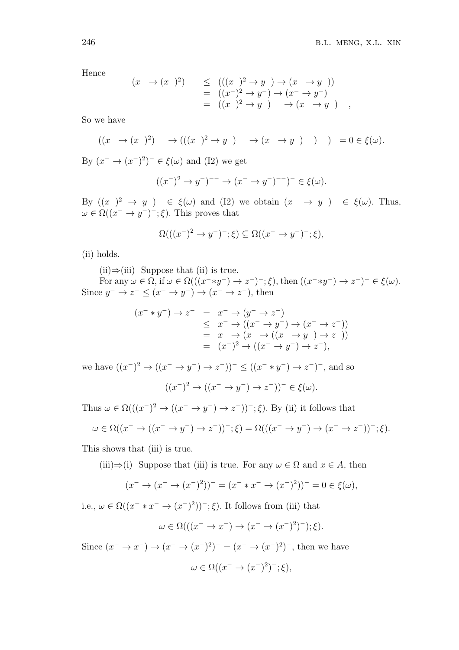Hence

$$
(x^- \to (x^-)^2)^{--} \le (( (x^-)^2 \to y^-) \to (x^- \to y^-))^{--}
$$
  
=  $((x^-)^2 \to y^-) \to (x^- \to y^-)$   
=  $((x^-)^2 \to y^-)^{--} \to (x^- \to y^-)^{--}$ ,

So we have

$$
((x^- \to (x^-)^2)^{--} \to (((x^-)^2 \to y^-)^{--} \to (x^- \to y^-)^{--})^{--})^- = 0 \in \xi(\omega).
$$

By  $(x^- \to (x^-)^2)^- \in \xi(\omega)$  and (I2) we get

$$
((x^-)^2 \to y^-)^{--} \to (x^- \to y^-)^{--})^- \in \xi(\omega).
$$

By  $((x^-)^2 \rightarrow y^-)^- \in \xi(\omega)$  and (I2) we obtain  $(x^- \rightarrow y^-)^- \in \xi(\omega)$ . Thus,  $\omega \in \Omega((x^- \to y^-)^-; \xi)$ . This proves that

$$
\Omega(((x^-)^2 \to y^-)^{-}; \xi) \subseteq \Omega((x^- \to y^-)^{-}; \xi),
$$

(ii) holds.

(ii)*⇒*(iii) Suppose that (ii) is true.

For any  $\omega \in \Omega$ , if  $\omega \in \Omega(((x^{-} \ast y^{-}) \to z^{-})^{-}; \xi)$ , then  $((x^{-} \ast y^{-}) \to z^{-})^{-} \in \xi(\omega)$ . Since  $y^- \to z^- \leq (x^- \to y^-) \to (x^- \to z^-)$ , then

$$
(x^{-} * y^{-}) \to z^{-} = x^{-} \to (y^{-} \to z^{-})
$$
  
\n
$$
\leq x^{-} \to ((x^{-} \to y^{-}) \to (x^{-} \to z^{-}))
$$
  
\n
$$
= x^{-} \to (x^{-} \to ((x^{-} \to y^{-}) \to z^{-}))
$$
  
\n
$$
= (x^{-})^{2} \to ((x^{-} \to y^{-}) \to z^{-}),
$$

we have  $((x^-)^2 \to ((x^- \to y^-) \to z^-))^- \le ((x^- * y^-) \to z^-)^-$ , and so

$$
((x^-)^2 \to ((x^- \to y^-) \to z^-))^- \in \xi(\omega).
$$

Thus  $\omega \in \Omega((x^{-})^2 \to ((x^{-} \to y^{-}) \to z^{-}))^{-}$ ;  $\xi$ ). By (ii) it follows that

$$
\omega \in \Omega((x^- \to ((x^- \to y^-) \to z^-))^-; \xi) = \Omega(((x^- \to y^-) \to (x^- \to z^-))^-; \xi).
$$

This shows that (iii) is true.

(iii) $\Rightarrow$ (i) Suppose that (iii) is true. For any  $\omega \in \Omega$  and  $x \in A$ , then

$$
(x^- \to (x^- \to (x^-)^2))^- = (x^- * x^- \to (x^-)^2))^- = 0 \in \xi(\omega),
$$

i.e.,  $\omega \in \Omega((x^{-} * x^{-} \to (x^{-})^{2}))^{-}$ ;  $\xi$ ). It follows from (iii) that

$$
\omega \in \Omega(((x^- \to x^-) \to (x^- \to (x^-)^2)^-); \xi).
$$

Since  $(x^- \to x^-) \to (x^- \to (x^-)^2)^- = (x^- \to (x^-)^2)^-$ , then we have  $\omega \in \Omega((x^- \to (x^-)^2)^{-}; \xi),$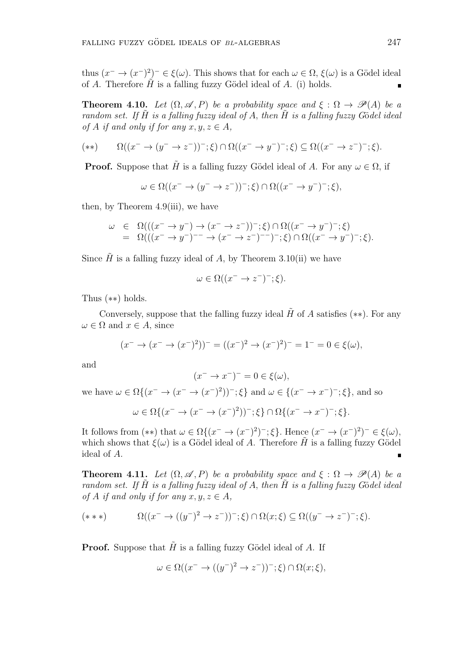thus  $(x^- \to (x^-)^2)^- \in \xi(\omega)$ . This shows that for each  $\omega \in \Omega$ ,  $\xi(\omega)$  is a Gödel ideal of *A*. Therefore  $\tilde{H}$  is a falling fuzzy Gödel ideal of *A*. (i) holds.

**Theorem 4.10.** *Let*  $(\Omega, \mathscr{A}, P)$  *be a probability space and*  $\xi : \Omega \to \mathscr{P}(A)$  *be a random set. If*  $\tilde{H}$  *is a falling fuzzy ideal of*  $A$ *, then*  $\tilde{H}$  *is a falling fuzzy G*ödel *ideal of A if and only if for any*  $x, y, z \in A$ ,

$$
(**) \qquad \Omega((x^- \to (y^- \to z^-))^{\scriptscriptstyle -}; \xi) \cap \Omega((x^- \to y^-)^{\scriptscriptstyle -}; \xi) \subseteq \Omega((x^- \to z^-)^{\scriptscriptstyle -}; \xi).
$$

**Proof.** Suppose that  $\tilde{H}$  is a falling fuzzy Gödel ideal of *A*. For any  $\omega \in \Omega$ , if

$$
\omega \in \Omega((x^- \to (y^- \to z^-))^{\overline{\ }};\xi) \cap \Omega((x^- \to y^-)^{\overline{\ }};\xi),
$$

then, by Theorem  $4.9(iii)$ , we have

$$
\omega \in \Omega(((x^- \to y^-) \to (x^- \to z^-))^-; \xi) \cap \Omega((x^- \to y^-)^{-}; \xi)
$$
  
= 
$$
\Omega(((x^- \to y^-)^{-} \to (x^- \to z^-)^{-})^-; \xi) \cap \Omega((x^- \to y^-)^{-}; \xi).
$$

Since  $\tilde{H}$  is a falling fuzzy ideal of *A*, by Theorem 3.10(ii) we have

$$
\omega \in \Omega((x^- \to z^-)^{-}; \xi).
$$

Thus (*∗∗*) holds.

Conversely, suppose that the falling fuzzy ideal  $\tilde{H}$  of *A* satisfies (\*\*). For any  $\omega \in \Omega$  and  $x \in A$ , since

$$
(x^- \to (x^- \to (x^-)^2))^- = ((x^-)^2 \to (x^-)^2)^- = 1^- = 0 \in \xi(\omega),
$$

and

$$
(x^- \to x^-)^- = 0 \in \xi(\omega),
$$

we have  $\omega \in \Omega\{(x^- \to (x^- \to (x^-)^2))^-, \xi\}$  and  $\omega \in \{(x^- \to x^-)^-, \xi\}$ , and so

$$
\omega \in \Omega\{(x^- \to (x^- \to (x^-)^2))^-; \xi\} \cap \Omega\{(x^- \to x^-)^-; \xi\}.
$$

It follows from (\*\*) that  $\omega \in \Omega$ { $(x^- \to (x^-)^2)^{-}$ ;  $\xi$ }. Hence  $(x^- \to (x^-)^2)^{-} \in \xi(\omega)$ , which shows that  $\xi(\omega)$  is a Gödel ideal of *A*. Therefore  $\tilde{H}$  is a falling fuzzy Gödel ideal of *A*.

**Theorem 4.11.** *Let*  $(\Omega, \mathscr{A}, P)$  *be a probability space and*  $\xi : \Omega \to \mathscr{P}(A)$  *be a random set. If H*˜ *is a falling fuzzy ideal of A, then H*˜ *is a falling fuzzy G*¨o*del ideal of A if and only if for any*  $x, y, z \in A$ ,

$$
(***) \qquad \Omega((x^- \to ((y^-)^2 \to z^-))^{-}; \xi) \cap \Omega(x;\xi) \subseteq \Omega((y^- \to z^-)^{-}; \xi).
$$

**Proof.** Suppose that  $\tilde{H}$  is a falling fuzzy Gödel ideal of *A*. If

$$
\omega \in \Omega((x^- \to ((y^-)^2 \to z^-))^{\scriptscriptstyle -}; \xi) \cap \Omega(x; \xi),
$$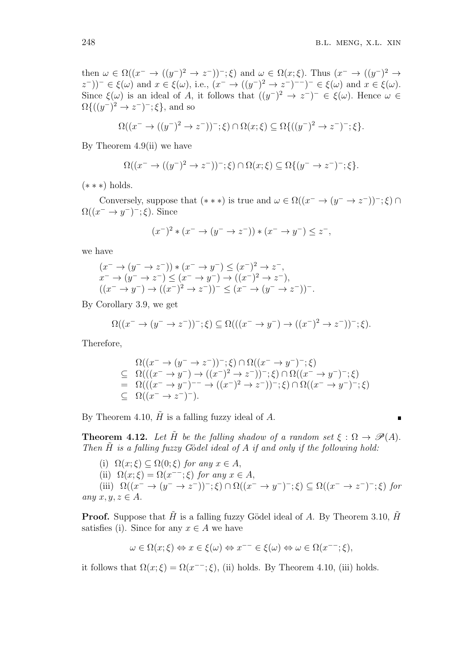then  $\omega \in \Omega((x^- \to ((y^-)^2 \to z^-))^{\scriptscriptstyle -}; \xi)$  and  $\omega \in \Omega(x;\xi)$ . Thus  $(x^- \to ((y^-)^2 \to z^-))^{\scriptscriptstyle -}; \xi)$  $(z^{-})^{-} \in \xi(\omega)$  and  $x \in \xi(\omega)$ , i.e.,  $(x^{-} \to ((y^{-})^{2} \to z^{-})^{-} )^{-} \in \xi(\omega)$  and  $x \in \xi(\omega)$ . Since  $\xi(\omega)$  is an ideal of *A*, it follows that  $((y^-)^2 \to z^-)^- \in \xi(\omega)$ . Hence  $\omega \in$  $\Omega\{(y^-)^2 \to z^-)^{-}$ ;  $\xi\}$ , and so

$$
\Omega((x^- \to ((y^-)^2 \to z^-))^{-}; \xi) \cap \Omega(x;\xi) \subseteq \Omega\{((y^-)^2 \to z^-)^{-}; \xi\}.
$$

By Theorem  $4.9$ (ii) we have

$$
\Omega((x^- \to ((y^-)^2 \to z^-))^-, \xi) \cap \Omega(x;\xi) \subseteq \Omega\{(y^- \to z^-)^-;\xi\}.
$$

(*∗ ∗ ∗*) holds.

Conversely, suppose that  $(***)$  is true and  $\omega \in \Omega((x^- \to (y^- \to z^-))^-; \xi) \cap$  $\Omega((x^- \to y^-)^-; \xi)$ . Since

$$
(x^-)^2 * (x^- \to (y^- \to z^-)) * (x^- \to y^-) \leq z^-,
$$

we have

$$
(x^{-} \to (y^{-} \to z^{-})) * (x^{-} \to y^{-}) \leq (x^{-})^{2} \to z^{-},
$$
  
\n
$$
x^{-} \to (y^{-} \to z^{-}) \leq (x^{-} \to y^{-}) \to ((x^{-})^{2} \to z^{-}),
$$
  
\n
$$
((x^{-} \to y^{-}) \to ((x^{-})^{2} \to z^{-}))^{-} \leq (x^{-} \to (y^{-} \to z^{-}))^{-}.
$$

By Corollary 3.9, we get

$$
\Omega((x^- \to (y^- \to z^-))^-; \xi) \subseteq \Omega(((x^- \to y^-) \to ((x^-)^2 \to z^-))^-; \xi).
$$

Therefore,

$$
\Omega((x^- \to (y^- \to z^-))^-, \xi) \cap \Omega((x^- \to y^-)^-; \xi)
$$
\n
$$
\subseteq \Omega(((x^- \to y^-) \to ((x^-)^2 \to z^-))^-, \xi) \cap \Omega((x^- \to y^-)^-; \xi)
$$
\n
$$
= \Omega(((x^- \to y^-)^- \to ((x^-)^2 \to z^-))^-, \xi) \cap \Omega((x^- \to y^-)^-; \xi)
$$
\n
$$
\subseteq \Omega((x^- \to z^-)^-).
$$

By Theorem 4.10,  $\tilde{H}$  is a falling fuzzy ideal of  $A$ .

**Theorem 4.12.** *Let*  $\tilde{H}$  *be the falling shadow of a random set*  $\xi : \Omega \to \mathcal{P}(A)$ *. Then*  $\tilde{H}$  *is a falling fuzzy G*ödel ideal of A *if and only if the following hold:* 

(i)  $\Omega(x;\xi) \subseteq \Omega(0;\xi)$  *for any*  $x \in A$ , (ii)  $\Omega(x;\xi) = \Omega(x^{-1};\xi)$  *for any*  $x \in A$ , (iii)  $\Omega((x^- \to (y^- \to z^-))^{\scriptscriptstyle -}; \xi) \cap \Omega((x^- \to y^-)^{\scriptscriptstyle -}; \xi) \subseteq \Omega((x^- \to z^-)^{\scriptscriptstyle -}; \xi)$  for  $any \; x, y, z \in A.$ 

**Proof.** Suppose that  $\tilde{H}$  is a falling fuzzy Gödel ideal of *A*. By Theorem 3.10,  $\tilde{H}$ satisfies (i). Since for any  $x \in A$  we have

$$
\omega \in \Omega(x;\xi) \Leftrightarrow x \in \xi(\omega) \Leftrightarrow x^{--} \in \xi(\omega) \Leftrightarrow \omega \in \Omega(x^{--};\xi),
$$

it follows that  $\Omega(x;\xi) = \Omega(x^{-1};\xi)$ , (ii) holds. By Theorem 4.10, (iii) holds.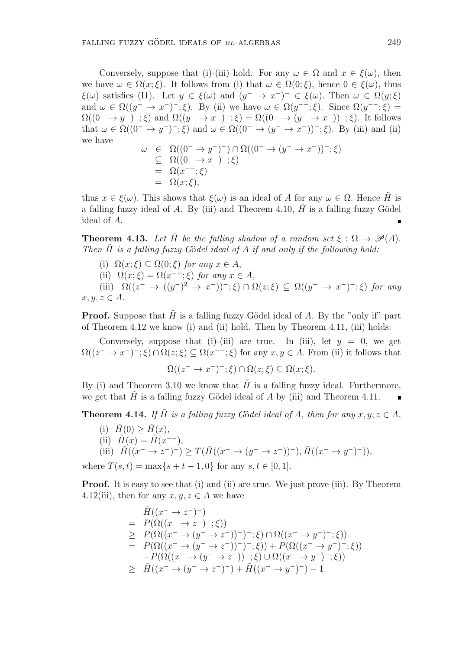Conversely, suppose that (i)-(iii) hold. For any  $\omega \in \Omega$  and  $x \in \xi(\omega)$ , then we have  $\omega \in \Omega(x;\xi)$ . It follows from (i) that  $\omega \in \Omega(0;\xi)$ , hence  $0 \in \xi(\omega)$ , thus *ξ*(*ω*) satisfies (I1). Let  $y \in \xi(\omega)$  and  $(y^{-} \to x^{-})^{-} \in \xi(\omega)$ . Then  $\omega \in \Omega(y;\xi)$ and  $\omega \in \Omega((y^- \to x^-)^{-}; \xi)$ . By (ii) we have  $\omega \in \Omega(y^{--}; \xi)$ . Since  $\Omega(y^{--}; \xi)$  $\Omega((0^- \to y^-)^-;\xi)$  and  $\Omega((y^- \to x^-)^-;\xi) = \Omega((0^- \to (y^- \to x^-))^-;\xi)$ . It follows that  $\omega \in \Omega((0^- \to y^-)^{-}; \xi)$  and  $\omega \in \Omega((0^- \to (y^- \to x^-))^{-}; \xi)$ . By (iii) and (ii) we have

$$
\omega \in \Omega((0^- \to y^-)^-) \cap \Omega((0^- \to (y^- \to x^-))^-, \xi)
$$
  
\n
$$
\subseteq \Omega((0^- \to x^-)^-, \xi)
$$
  
\n
$$
= \Omega(x^-,\xi)
$$
  
\n
$$
= \Omega(x;\xi),
$$

thus  $x \in \xi(\omega)$ . This shows that  $\xi(\omega)$  is an ideal of *A* for any  $\omega \in \Omega$ . Hence *H* is a falling fuzzy ideal of  $A$ . By (iii) and Theorem 4.10,  $H$  is a falling fuzzy Gödel ideal of *A*.

**Theorem 4.13.** Let  $\tilde{H}$  be the falling shadow of a random set  $\xi : \Omega \to \mathcal{P}(A)$ . *Then*  $\tilde{H}$  *is a falling fuzzy G*ödel *ideal of A if and only if the following hold:* 

(i)  $\Omega(x;\xi) \subseteq \Omega(0;\xi)$  *for any*  $x \in A$ ,

(ii)  $\Omega(x;\xi) = \Omega(x^{-1};\xi)$  *for any*  $x \in A$ *,* 

(iii)  $\Omega((z^- \to ((y^-)^2 \to x^-))^{\scriptscriptstyle -}; \xi) \cap \Omega(z;\xi) \subseteq \Omega((y^- \to x^-)^{\scriptscriptstyle -}; \xi)$  for any  $x, y, z \in A$ .

**Proof.** Suppose that *H* is a falling fuzzy Gödel ideal of *A*. By the "only if" part of Theorem 4.12 we know (i) and (ii) hold. Then by Theorem 4.11, (iii) holds.

Conversely, suppose that (i)-(iii) are true. In (iii), let  $y = 0$ , we get  $\Omega((z^- \to x^-)^{-} ; \xi) \cap \Omega(z;\xi) \subseteq \Omega(x^{--}; \xi)$  for any  $x, y \in A$ . From (ii) it follows that

 $\Omega((z^- \to x^-)^{-}; \xi) \cap \Omega(z; \xi) \subseteq \Omega(x; \xi).$ 

By (i) and Theorem 3.10 we know that  $H$  is a falling fuzzy ideal. Furthermore, we get that  $H$  is a falling fuzzy Gödel ideal of  $A$  by (iii) and Theorem 4.11.

**Theorem 4.14.** If  $\tilde{H}$  is a falling fuzzy Gödel ideal of A, then for any  $x, y, z \in A$ ,

 $(H(0) \geq \tilde{H}(x)),$  $(H(x)) = H(x^{n-1}),$ (iii)  $\tilde{H}((x^- \to z^-)^-) \geq T(\tilde{H}((x^- \to (y^- \to z^-))^-), \tilde{H}((x^- \to y^-)^-)),$ 

where  $T(s,t) = \max\{s + t - 1, 0\}$  for any  $s, t \in [0,1]$ *.* 

**Proof.** It is easy to see that (i) and (ii) are true. We just prove (iii). By Theorem 4.12(iii), then for any  $x, y, z \in A$  we have

$$
\tilde{H}((x^{-} \to z^{-})^{-})
$$
\n
$$
= P(\Omega((x^{-} \to z^{-})^{-}; \xi))
$$
\n
$$
\geq P(\Omega((x^{-} \to (y^{-} \to z^{-}))^{-})^{-}; \xi) \cap \Omega((x^{-} \to y^{-})^{-}; \xi))
$$
\n
$$
= P(\Omega((x^{-} \to (y^{-} \to z^{-}))^{-})^{-}; \xi) + P(\Omega((x^{-} \to y^{-})^{-}; \xi))
$$
\n
$$
-P(\Omega((x^{-} \to (y^{-} \to z^{-}))^{-}; \xi) \cup \Omega((x^{-} \to y^{-})^{-}; \xi))
$$
\n
$$
\geq \tilde{H}((x^{-} \to (y^{-} \to z^{-})^{-}) + \tilde{H}((x^{-} \to y^{-})^{-}) - 1.
$$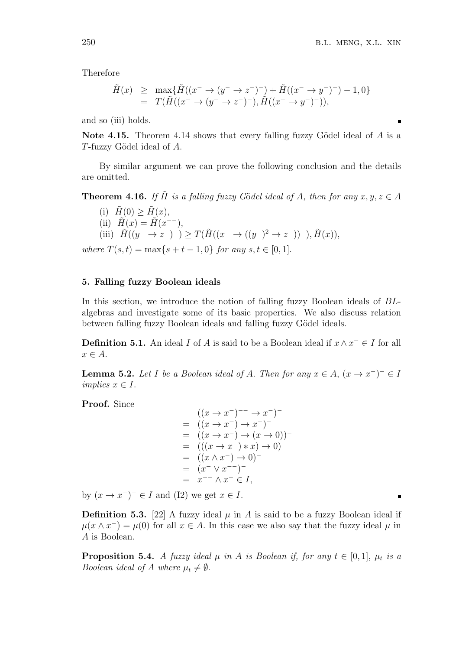Therefore

$$
\tilde{H}(x) \geq \max \{ \tilde{H}((x^- \to (y^- \to z^-)^-) + \tilde{H}((x^- \to y^-)^-) - 1, 0 \}
$$
\n
$$
= T(\tilde{H}((x^- \to (y^- \to z^-)^-), \tilde{H}((x^- \to y^-)^-)),
$$

and so (iii) holds.

**Note 4.15.** Theorem 4.14 shows that every falling fuzzy Gödel ideal of A is a *T*-fuzzy G¨odel ideal of *A*.

By similar argument we can prove the following conclusion and the details are omitted.

**Theorem 4.16.** If  $\tilde{H}$  is a falling fuzzy Gödel ideal of A, then for any  $x, y, z \in A$ 

 $(H(0) > H(x)),$  $(H(x)) = H(x^{n-1}),$ (iii)  $\tilde{H}((y^- \to z^-)^-) \geq T(\tilde{H}((x^- \to ((y^-)^2 \to z^-))^-), \tilde{H}(x)),$ 

 $where \ T(s,t) = \max\{s+t-1,0\} \ for \ any \ s,t \in [0,1].$ 

### **5. Falling fuzzy Boolean ideals**

In this section, we introduce the notion of falling fuzzy Boolean ideals of *BL*algebras and investigate some of its basic properties. We also discuss relation between falling fuzzy Boolean ideals and falling fuzzy Gödel ideals.

**Definition 5.1.** An ideal *I* of *A* is said to be a Boolean ideal if  $x \wedge x^- \in I$  for all *x ∈ A.*

**Lemma 5.2.** *Let I be a Boolean ideal of A. Then for any*  $x \in A$ ,  $(x \to x^-)^- \in I$  $\text{implies } x \in I.$ 

**Proof.** Since

$$
((x \to x^-)^{--} \to x^-)^{-}
$$
\n
$$
= ((x \to x^-) \to x^-)^{-}
$$
\n
$$
= ((x \to x^-) \to (x \to 0))^{-}
$$
\n
$$
= ((x \to x^-) * x) \to 0)^{-}
$$
\n
$$
= ((x \land x^-) \to 0)^{-}
$$
\n
$$
= (x^- \lor x^-)^{-}
$$
\n
$$
= x^- \land x^- \in I,
$$

by  $(x \to x^-)^- \in I$  and (I2) we get  $x \in I$ .

**Definition 5.3.** [22] A fuzzy ideal  $\mu$  in *A* is said to be a fuzzy Boolean ideal if  $\mu(x \wedge x^{-}) = \mu(0)$  for all  $x \in A$ . In this case we also say that the fuzzy ideal  $\mu$  in *A* is Boolean.

**Proposition 5.4.** *A fuzzy ideal*  $\mu$  *in A is Boolean if, for any*  $t \in [0,1]$ *,*  $\mu_t$  *is a Boolean ideal of A where*  $\mu_t \neq \emptyset$ *.*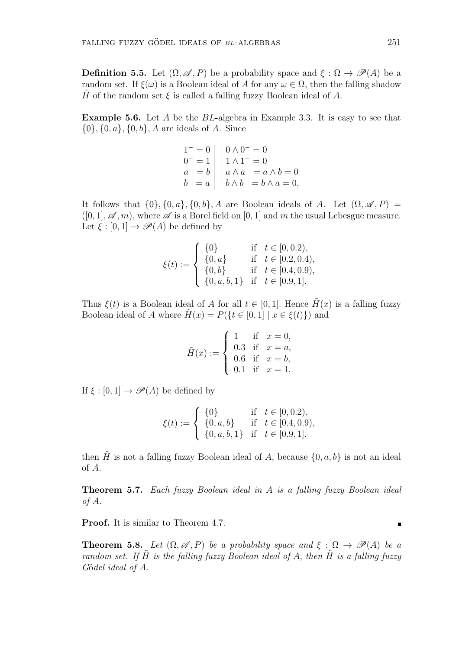**Definition 5.5.** Let  $(\Omega, \mathscr{A}, P)$  be a probability space and  $\xi : \Omega \to \mathscr{P}(A)$  be a random set. If  $\xi(\omega)$  is a Boolean ideal of *A* for any  $\omega \in \Omega$ , then the falling shadow *H* of the random set  $\xi$  is called a falling fuzzy Boolean ideal of *A*.

**Example 5.6.** Let *A* be the *BL*-algebra in Example 3.3. It is easy to see that *{*0*}, {*0*, a}, {*0*, b}, A* are ideals of *A*. Since

$$
\begin{array}{c|c}\n1^- = 0 & 0 \land 0^- = 0 \\
0^- = 1 & 1 \land 1^- = 0 \\
a^- = b & a \land a^- = a \land b = 0 \\
b^- = a & b \land b^- = b \land a = 0,\n\end{array}
$$

It follows that  $\{0\}$ ,  $\{0, a\}$ ,  $\{0, b\}$ , A are Boolean ideals of A. Let  $(\Omega, \mathscr{A}, P)$  $([0, 1], \mathscr{A}, m)$ , where  $\mathscr{A}$  is a Borel field on [0, 1] and m the usual Lebesgue measure. Let  $\xi : [0,1] \to \mathscr{P}(A)$  be defined by

$$
\xi(t) := \begin{cases}\n\{0\} & \text{if } t \in [0, 0.2), \\
\{0, a\} & \text{if } t \in [0.2, 0.4), \\
\{0, b\} & \text{if } t \in [0.4, 0.9), \\
\{0, a, b, 1\} & \text{if } t \in [0.9, 1].\n\end{cases}
$$

Thus  $\xi(t)$  is a Boolean ideal of *A* for all  $t \in [0,1]$ . Hence  $H(x)$  is a falling fuzzy Boolean ideal of *A* where  $H(x) = P({t \in [0,1] | x \in \xi(t)}$  and

$$
\tilde{H}(x) := \begin{cases}\n1 & \text{if } x = 0, \\
0.3 & \text{if } x = a, \\
0.6 & \text{if } x = b, \\
0.1 & \text{if } x = 1.\n\end{cases}
$$

If  $\xi : [0, 1] \rightarrow \mathscr{P}(A)$  be defined by

$$
\xi(t) := \begin{cases} \{0\} & \text{if } t \in [0, 0.2), \\ \{0, a, b\} & \text{if } t \in [0.4, 0.9), \\ \{0, a, b, 1\} & \text{if } t \in [0.9, 1]. \end{cases}
$$

then  $\tilde{H}$  is not a falling fuzzy Boolean ideal of *A*, because  $\{0, a, b\}$  is not an ideal of *A*.

**Theorem 5.7.** *Each fuzzy Boolean ideal in A is a falling fuzzy Boolean ideal of A.*

**Proof.** It is similar to Theorem 4.7.

**Theorem 5.8.** *Let*  $(\Omega, \mathscr{A}, P)$  *be a probability space and*  $\xi : \Omega \to \mathscr{P}(A)$  *be a random set.* If  $\tilde{H}$  *is the falling fuzzy Boolean ideal of A, then*  $\tilde{H}$  *is a falling fuzzy G*¨o*del ideal of A.*

 $\blacksquare$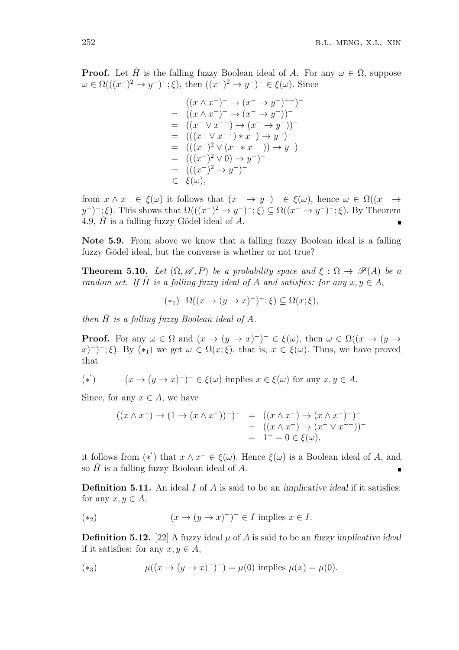**Proof.** Let  $\tilde{H}$  is the falling fuzzy Boolean ideal of *A*. For any  $\omega \in \Omega$ , suppose  $\omega \in \Omega((x^{-})^{2} \to y^{-})^{-}$ ; *ξ*), then  $((x^{-})^{2} \to y^{-})^{-} \in \xi(\omega)$ . Since

$$
((x \wedge x^-)^- \rightarrow (x^- \rightarrow y^-)^-)^-
$$
  
=  $((x \wedge x^-)^- \rightarrow (x^- \rightarrow y^-))^-$   
=  $((x^- \vee x^- \rightarrow (x^- \rightarrow y^-))^-$   
=  $(((x^- \vee x^-)^* x^-) \rightarrow y^-)^-$   
=  $(((x^-)^2 \vee (x^- * x^-)) \rightarrow y^-)^-$   
=  $(((x^-)^2 \vee 0) \rightarrow y^-)^-$   
=  $(((x^-)^2 \rightarrow y^-)^-$   
 $\in \xi(\omega),$ 

from  $x \wedge x^- \in \xi(\omega)$  it follows that  $(x^- \to y^-)^- \in \xi(\omega)$ , hence  $\omega \in \Omega((x^- \to$  $(y^{-})^{-}$ ;  $\xi$ ). This shows that  $\Omega(((x^{-})^{2} \to y^{-})^{-}; \xi) \subseteq \Omega((x^{-} \to y^{-})^{-}; \xi)$ . By Theorem 4.9, *H*˜ is a falling fuzzy G¨odel ideal of *A*.

**Note 5.9.** From above we know that a falling fuzzy Boolean ideal is a falling fuzzy Gödel ideal, but the converse is whether or not true?

**Theorem 5.10.** *Let*  $(\Omega, \mathscr{A}, P)$  *be a probability space and*  $\xi : \Omega \to \mathscr{P}(A)$  *be a random set.* If  $\tilde{H}$  *is a falling fuzzy ideal of*  $A$  *and satisfies: for any*  $x, y \in A$ ,

$$
(*) \Omega((x \to (y \to x)^{-})^{-}; \xi) \subseteq \Omega(x; \xi),
$$

*then*  $\tilde{H}$  *is a falling fuzzy Boolean ideal of A.* 

**Proof.** For any  $\omega \in \Omega$  and  $(x \to (y \to x)^-)$ <sup>-</sup>  $\in \xi(\omega)$ , then  $\omega \in \Omega((x \to (y \to x)^-)$  $f(x) = f(x) - f(z)$ ,  $f(x) = f(x) - f(z)$ ,  $f(x) = f(x) - f(z)$ ,  $f(x) = f(x) - f(z)$ ,  $f(x) = f(x) - f(z)$ ,  $f(x) = f(x) - f(z)$ ,  $f(x) = f(x) - f(z)$ ,  $f(x) = f(x) - f(z)$ ,  $f(x) = f(x) - f(z)$ ,  $f(x) = f(x) - f(z)$ ,  $f(x) = f(x) - f(z)$ ,  $f(x) = f(x) - f(z)$ ,  $f(x) = f(x) - f(z)$ ,  $f(x) = f(x) - f(z)$ ,  $f(x) = f(x) - f(z$ that

$$
(*) \qquad (x \to (y \to x)^-)^- \in \xi(\omega) \text{ implies } x \in \xi(\omega) \text{ for any } x, y \in A.
$$

Since, for any  $x \in A$ , we have

$$
((x \wedge x^{-}) \rightarrow (1 \rightarrow (x \wedge x^{-}))^{-})^{-} = ((x \wedge x^{-}) \rightarrow (x \wedge x^{-})^{-})^{-}
$$
  
= ((x \wedge x^{-}) \rightarrow (x^{-} \vee x^{-}))^{-}  
= 1^{-} = 0 \in \xi(\omega),

it follows from  $(*')$  that  $x \wedge x^- \in \xi(\omega)$ . Hence  $\xi(\omega)$  is a Boolean ideal of *A*, and so  $\hat{H}$  is a falling fuzzy Boolean ideal of  $\hat{A}$ .  $\blacksquare$ 

**Definition 5.11.** An ideal *I* of *A* is said to be an *implicative ideal* if it satisfies: for any  $x, y \in A$ ,

$$
(*) \qquad (x \to (y \to x)^-)^{\mathbb{Z}} \in I \text{ implies } x \in I.
$$

**Definition 5.12.** [22] A fuzzy ideal  $\mu$  of A is said to be an *fuzzy implicative ideal* if it satisfies: for any  $x, y \in A$ ,

$$
(\ast_3) \quad \mu((x \to (y \to x)^{-})^{-}) = \mu(0) \text{ implies } \mu(x) = \mu(0).
$$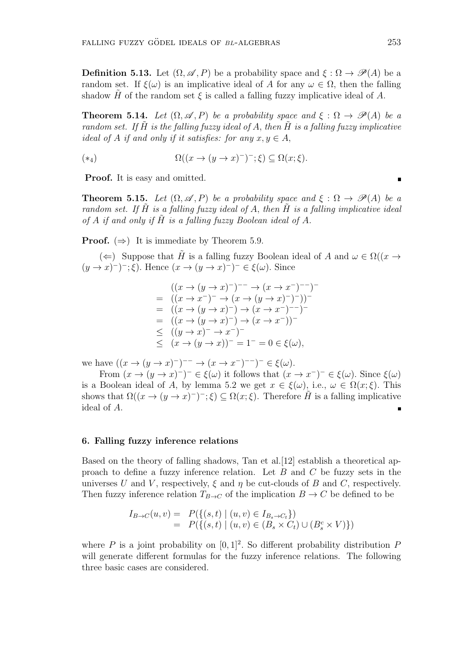**Definition 5.13.** Let  $(\Omega, \mathscr{A}, P)$  be a probability space and  $\xi : \Omega \to \mathscr{P}(A)$  be a random set. If  $\xi(\omega)$  is an implicative ideal of *A* for any  $\omega \in \Omega$ , then the falling shadow *H* of the random set  $\xi$  is called a falling fuzzy implicative ideal of *A*.

**Theorem 5.14.** Let  $(\Omega, \mathscr{A}, P)$  be a probability space and  $\xi : \Omega \to \mathscr{P}(A)$  be a *random set.* If  $\tilde{H}$  *is the falling fuzzy ideal of*  $A$ *, then*  $\tilde{H}$  *is a falling fuzzy implicative ideal of A if and only if it satisfies: for any*  $x, y \in A$ ,

$$
(*)\qquad \Omega((x \to (y \to x)^{-})^{-}; \xi) \subseteq \Omega(x; \xi).
$$

**Proof.** It is easy and omitted.

**Theorem 5.15.** *Let*  $(\Omega, \mathscr{A}, P)$  *be a probability space and*  $\xi : \Omega \to \mathscr{P}(A)$  *be a random set. If H*˜ *is a falling fuzzy ideal of A, then H*˜ *is a falling implicative ideal* of  $A$  *if and only if*  $H$  *is a falling fuzzy Boolean ideal of*  $A$ *.* 

**Proof.**  $(\Rightarrow)$  It is immediate by Theorem 5.9.

(←) Suppose that  $\tilde{H}$  is a falling fuzzy Boolean ideal of *A* and  $\omega \in \Omega((x \to$  $(y \to x)^{-}$ ;  $\xi$ ). Hence  $(x \to (y \to x)^{-})^{-} \in \xi(\omega)$ . Since

$$
((x \to (y \to x)^-)^{-} \to (x \to x^-)^{-})^{-}
$$
  
=  $((x \to x^-)^- \to (x \to (y \to x)^-)^-))^{-}$   
=  $((x \to (y \to x)^-) \to (x \to x^-)^{-})^{-}$   
=  $((x \to (y \to x)^-) \to (x \to x^-))^{-}$   
 $\leq ((y \to x)^- \to x^-)^-$   
 $\leq (x \to (y \to x))^- = 1^- = 0 \in \xi(\omega),$ 

we have  $((x \to (y \to x)^{-})^{-} \to (x \to x^{-})^{-} \to (\epsilon \xi(\omega)).$ 

From  $(x \to (y \to x)^-)$ <sup>-</sup>  $\in \xi(\omega)$  it follows that  $(x \to x^-)^- \in \xi(\omega)$ *.* Since  $\xi(\omega)$ is a Boolean ideal of *A*, by lemma 5.2 we get  $x \in \xi(\omega)$ , i.e.,  $\omega \in \Omega(x;\xi)$ . This shows that  $\Omega((x \to (y \to x)^-)$ ;  $\xi) \subseteq \Omega(x;\xi)$ . Therefore  $\tilde{H}$  is a falling implicative ideal of *A*.

#### **6. Falling fuzzy inference relations**

Based on the theory of falling shadows, Tan et al.[12] establish a theoretical approach to define a fuzzy inference relation. Let *B* and *C* be fuzzy sets in the universes *U* and *V*, respectively,  $\xi$  and  $\eta$  be cut-clouds of *B* and *C*, respectively. Then fuzzy inference relation  $T_{B\to C}$  of the implication  $B \to C$  be defined to be

$$
I_{B \to C}(u, v) = P({ (s, t) | (u, v) \in I_{B_s \to C_t } })
$$
  
=  $P({ (s, t) | (u, v) \in (B_s \times C_t) \cup (B_s^c \times V) })$ 

where *P* is a joint probability on  $[0, 1]^2$ . So different probability distribution *P* will generate different formulas for the fuzzy inference relations. The following three basic cases are considered.

 $\blacksquare$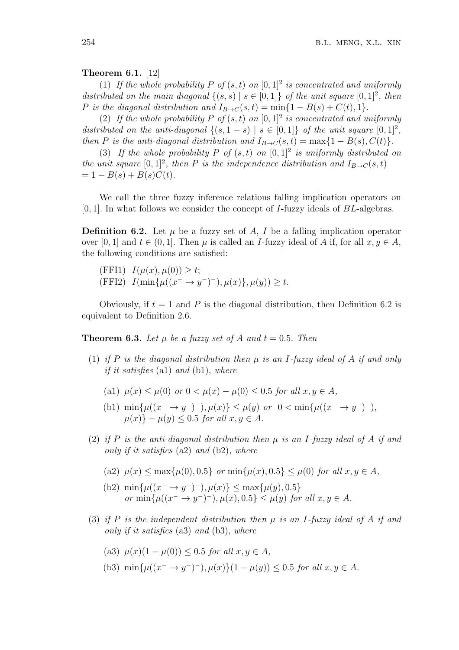### **Theorem 6.1.** [12]

(1) If the whole probability P of  $(s, t)$  on  $[0, 1]^2$  is concentrated and uniformly *distributed on the main diagonal*  $\{(s, s) | s \in [0, 1]\}$  *of the unit square*  $[0, 1]^2$ , *then P* is the diagonal distribution and  $I_{B\rightarrow C}(s,t) = \min\{1 - B(s) + C(t), 1\}$ .

(2) If the whole probability P of  $(s, t)$  on  $[0, 1]^2$  is concentrated and uniformly *distributed on the anti-diagonal*  $\{(s, 1-s) | s \in [0,1]\}$  *of the unit square*  $[0,1]^2$ , *then P is the anti-diagonal distribution and*  $I_{B\rightarrow C}(s,t) = \max\{1 - B(s), C(t)\}$ *.* 

(3) If the whole probability P of  $(s,t)$  on  $[0,1]^2$  is uniformly distributed on *the unit square*  $[0,1]^2$ , *then P is the independence distribution and*  $I_{B\rightarrow C}(s,t)$  $= 1 - B(s) + B(s)C(t).$ 

We call the three fuzzy inference relations falling implication operators on [0*,* 1]*.* In what follows we consider the concept of *I*-fuzzy ideals of *BL*-algebras.

**Definition 6.2.** Let  $\mu$  be a fuzzy set of *A*, *I* be a falling implication operator over [0, 1] and  $t \in (0, 1]$ . Then  $\mu$  is called an *I*-fuzzy ideal of *A* if, for all  $x, y \in A$ , the following conditions are satisfied:

 $I(\mu(x), \mu(0)) \geq t;$  $I(\min\{\mu((x^{-} \to y^{-})^{-}), \mu(x)\}, \mu(y)) \geq t.$ 

Obviously, if  $t = 1$  and P is the diagonal distribution, then Definition 6.2 is equivalent to Definition 2.6.

**Theorem 6.3.** Let  $\mu$  be a fuzzy set of  $A$  and  $t = 0.5$ . Then

- (1) *if P is the diagonal distribution then µ is an I-fuzzy ideal of A if and only if it satisfies* (a1) *and* (b1), *where*
	- $\mu(x) \leq \mu(0)$  *or*  $0 \leq \mu(x) \mu(0) \leq 0.5$  *for all*  $x, y \in A$ ,
	- (b1)  $\min\{\mu((x^{-} \to y^{-})^{-}), \mu(x)\} \leq \mu(y)$  or  $0 < \min\{\mu((x^{-} \to y^{-})^{-}),\}$  $\mu(x)$ } −  $\mu(y)$  < 0.5 *for all*  $x, y \in A$ .
- (2) *if P is the anti-diagonal distribution then µ is an I-fuzzy ideal of A if and only if it satisfies* (a2) *and* (b2)*, where*

(a2) 
$$
\mu(x) \le \max{\mu(0), 0.5}
$$
 or  $\min{\mu(x), 0.5} \le \mu(0)$  for all  $x, y \in A$ ,

- $(\text{b2}) \min\{\mu((x^{-} \to y^{-})^{-}), \mu(x)\} \leq \max\{\mu(y), 0.5\}$  $or$   $\min\{\mu((x^{-} \to y^{-})^{-}), \mu(x), 0.5\} \leq \mu(y)$  *for all*  $x, y \in A$ *.*
- (3) *if P is the independent distribution then µ is an I-fuzzy ideal of A if and only if it satisfies* (a3) *and* (b3), *where*

(a3) 
$$
\mu(x)(1 - \mu(0)) \le 0.5
$$
 for all  $x, y \in A$ ,

(b3)  $\min\{\mu((x^- \to y^-)^{-}), \mu(x)\}(1 - \mu(y)) \leq 0.5$  *for all*  $x, y \in A$ *.*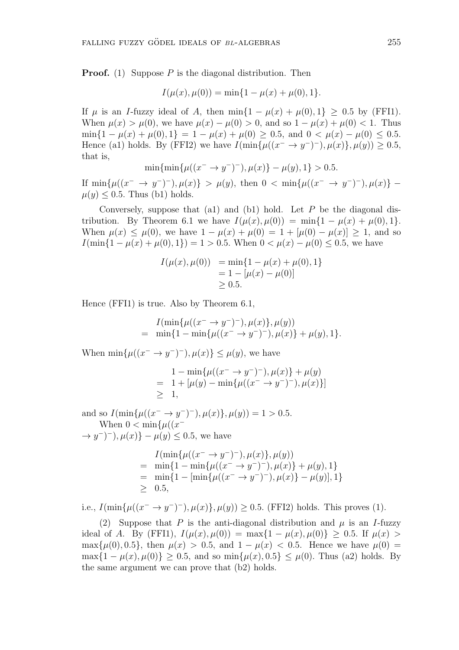**Proof.** (1) Suppose *P* is the diagonal distribution. Then

$$
I(\mu(x), \mu(0)) = \min\{1 - \mu(x) + \mu(0), 1\}.
$$

If  $\mu$  is an *I*-fuzzy ideal of *A*, then min $\{1 - \mu(x) + \mu(0), 1\} \geq 0.5$  by (FFI1). When  $\mu(x) > \mu(0)$ , we have  $\mu(x) - \mu(0) > 0$ , and so  $1 - \mu(x) + \mu(0) < 1$ . Thus  $\min\{1 - \mu(x) + \mu(0), 1\} = 1 - \mu(x) + \mu(0) \ge 0.5$ , and  $0 < \mu(x) - \mu(0) \le 0.5$ . Hence (a1) holds. By (FFI2) we have  $I(\min\{\mu((x^{-} \to y^{-})^{-}), \mu(x)\}, \mu(y)) \ge 0.5$ , that is,

$$
\min\{\min\{\mu((x^- \to y^-)^-), \mu(x)\} - \mu(y), 1\} > 0.5.
$$

If  $\min\{\mu((x^{-} \to y^{-})^{-}), \mu(x)\} > \mu(y)$ , then  $0 < \min\{\mu((x^{-} \to y^{-})^{-}), \mu(x)\}$  $\mu(y) \leq 0.5$ . Thus (b1) holds.

Conversely, suppose that (a1) and (b1) hold. Let *P* be the diagonal distribution. By Theorem 6.1 we have  $I(\mu(x), \mu(0)) = \min\{1 - \mu(x) + \mu(0), 1\}.$ When  $\mu(x)$  <  $\mu(0)$ , we have  $1 - \mu(x) + \mu(0) = 1 + [\mu(0) - \mu(x)] > 1$ , and so *I*(min{1 −  $\mu(x) + \mu(0), 1$ }) = 1 > 0*.*5*.* When  $0 < \mu(x) - \mu(0) \le 0.5$ , we have

$$
I(\mu(x), \mu(0)) = \min\{1 - \mu(x) + \mu(0), 1\}
$$
  
= 1 - [\mu(x) - \mu(0)]  
 $\geq 0.5.$ 

Hence (FFI1) is true. Also by Theorem 6.1,

*I*(min{ $\mu$ (( $x$ <sup>−</sup> →  $y$ <sup>−</sup>)<sup>−</sup>)*,*  $\mu$ ( $x$ )}*,*  $\mu$ ( $y$ ))  $=$  min{ $1 - min{\mu((x^- \to y^-)^-), \mu(x)} + \mu(y), 1$ }

When  $\min\{\mu((x^{-} \rightarrow y^{-})^{-}), \mu(x)\} \leq \mu(y)$ , we have

$$
1 - \min{\mu((x^- \to y^-)^-), \mu(x)} + \mu(y)
$$
  
= 1 + [\mu(y) - \min{\mu((x^- \to y^-)^-), \mu(x)}]  

$$
\geq 1,
$$

and so  $I(\min\{\mu((x^{-} \to y^{-})^{-}), \mu(x)\}, \mu(y)) = 1 > 0.5$ . When  $0 < \min\{\mu((x^{-})\}$ *→ y*<sup> $-$ </sup>)<sup>*-*</sup>),  $\mu(x)$ } −  $\mu(y)$  ≤ 0.5, we have

> $I(\min\{\mu((x^{-} \to y^{-})^{-}), \mu(x)\}, \mu(y))$  $=$  min{ $1 - \min\{\mu((x^- \to y^-)^-), \mu(x)\} + \mu(y), 1\}$  $=$  min{1 – [min{ $\mu((x^{-} \rightarrow y^{-})^{-}), \mu(x)$ } –  $\mu(y)$ ], 1} *≥* 0*.*5*,*

i.e.,  $I(\min\{\mu((x^- \to y^-)^-), \mu(x)\}, \mu(y)) \ge 0.5$ . (FFI2) holds. This proves (1).

(2) Suppose that *P* is the anti-diagonal distribution and  $\mu$  is an *I*-fuzzy ideal of *A*. By (FFI1),  $I(\mu(x), \mu(0)) = \max\{1 - \mu(x), \mu(0)\} \ge 0.5$ . If  $\mu(x) >$ max{ $\mu$ (0), 0*.*5}, then  $\mu$ (*x*) > 0*.*5*,* and 1 −  $\mu$ (*x*) < 0*.*5. Hence we have  $\mu$ (0) =  $\max\{1 - \mu(x), \mu(0)\} > 0.5$ , and so  $\min\{\mu(x), 0.5\} < \mu(0)$ . Thus (a2) holds. By the same argument we can prove that (b2) holds.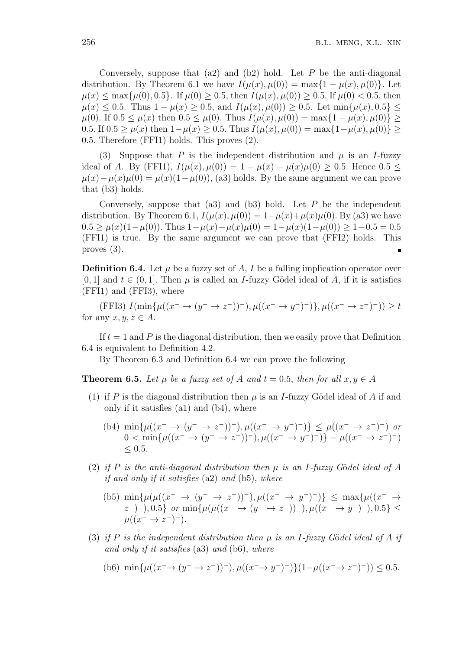Conversely, suppose that (a2) and (b2) hold. Let *P* be the anti-diagonal distribution. By Theorem 6.1 we have  $I(\mu(x), \mu(0)) = \max\{1 - \mu(x), \mu(0)\}\)$ . Let  $\mu(x) \le \max{\mu(0), 0.5}$ . If  $\mu(0) \ge 0.5$ , then  $I(\mu(x), \mu(0)) \ge 0.5$ . If  $\mu(0) < 0.5$ , then  $\mu(x) \leq 0.5$ . Thus  $1 - \mu(x) \geq 0.5$ , and  $I(\mu(x), \mu(0)) \geq 0.5$ . Let  $\min{\mu(x), 0.5} \leq$  $\mu(0)$ . If  $0.5 \leq \mu(x)$  then  $0.5 \leq \mu(0)$ . Thus  $I(\mu(x), \mu(0)) = \max\{1 - \mu(x), \mu(0)\}$ 0.5. If  $0.5 \geq \mu(x)$  then  $1-\mu(x) \geq 0.5$ . Thus  $I(\mu(x), \mu(0)) = \max\{1-\mu(x), \mu(0)\} \geq$ 0*.*5*.* Therefore (FFI1) holds. This proves (2).

(3) Suppose that *P* is the independent distribution and  $\mu$  is an *I*-fuzzy ideal of *A*. By (FFI1),  $I(\mu(x), \mu(0)) = 1 - \mu(x) + \mu(x)\mu(0) > 0.5$ . Hence 0.5 <  $\mu(x) - \mu(x)\mu(0) = \mu(x)(1-\mu(0))$ , (a3) holds. By the same argument we can prove that (b3) holds.

Conversely, suppose that (a3) and (b3) hold. Let *P* be the independent distribution. By Theorem 6.1,  $I(\mu(x), \mu(0)) = 1 - \mu(x) + \mu(x)\mu(0)$ . By (a3) we have  $0.5 > \mu(x)(1-\mu(0))$ . Thus  $1-\mu(x)+\mu(x)\mu(0) = 1-\mu(x)(1-\mu(0)) > 1-0.5 = 0.5$ (FFI1) is true. By the same argument we can prove that (FFI2) holds. This proves (3).

**Definition 6.4.** Let  $\mu$  be a fuzzy set of  $A, I$  be a falling implication operator over [0, 1] and  $t \in (0, 1]$ . Then  $\mu$  is called an *I*-fuzzy Gödel ideal of *A*, if it is satisfies (FFI1) and (FFI3), where

(FFI3)  $I(\min\{\mu((x^{-} \to (y^{-} \to z^{-}))^{-}), \mu((x^{-} \to y^{-})^{-})\}, \mu((x^{-} \to z^{-})^{-})) \geq t$ for any  $x, y, z \in A$ .

If  $t = 1$  and P is the diagonal distribution, then we easily prove that Definition 6.4 is equivalent to Definition 4.2.

By Theorem 6.3 and Definition 6.4 we can prove the following

**Theorem 6.5.** *Let*  $\mu$  *be a fuzzy set of*  $A$  *and*  $t = 0.5$ *, then for all*  $x, y \in A$ 

- (1) if *P* is the diagonal distribution then  $\mu$  is an *I*-fuzzy Gödel ideal of *A* if and only if it satisfies (a1) and (b4), where
	- (b4)  $\min\{\mu((x^- \to (y^- \to z^-))^-), \mu((x^- \to y^-)^-)\}\leq \mu((x^- \to z^-)^-)$  or  $0 < \min\{\mu((x^- \to (y^- \to z^-))^-), \mu((x^- \to y^-)^-)\} - \mu((x^- \to z^-)^-)$ *≤* 0*.*5*.*
- (2) *if*  $P$  *is the anti-diagonal distribution then*  $\mu$  *is an I-fuzzy Gödel ideal of*  $A$ *if and only if it satisfies* (a2) *and* (b5), *where*

(b5) 
$$
\min{\mu(\mu((x^- \to (y^- \to z^-))^-), \mu((x^- \to y^-)^-))} \le \max{\mu((x^- \to z^-)^-), 0.5}
$$
 or  $\min{\mu(\mu((x^- \to (y^- \to z^-))^-), \mu((x^- \to y^-)^-), 0.5)} \le \mu((x^- \to z^-)^-).$ 

(3) *if*  $P$  *is the independent distribution then*  $\mu$  *is an*  $I$ -fuzzy Gödel ideal of  $A$  *if and only if it satisfies* (a3) *and* (b6), *where*

(b6) 
$$
\min\{\mu((x^- \to (y^- \to z^-))^-), \mu((x^- \to y^-)^-)\}(1-\mu((x^- \to z^-)^-)) \le 0.5.
$$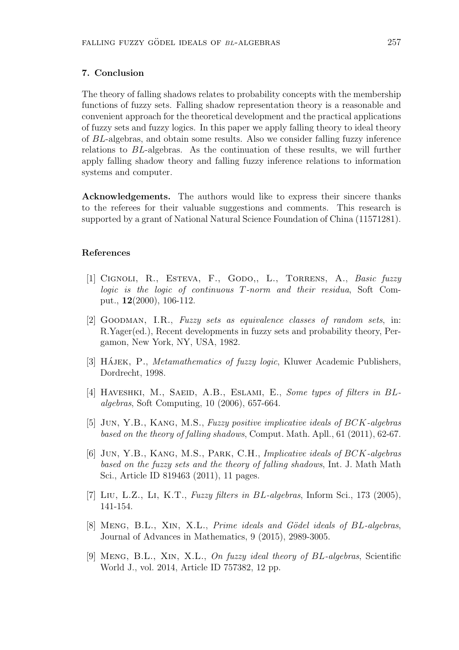#### **7. Conclusion**

The theory of falling shadows relates to probability concepts with the membership functions of fuzzy sets. Falling shadow representation theory is a reasonable and convenient approach for the theoretical development and the practical applications of fuzzy sets and fuzzy logics. In this paper we apply falling theory to ideal theory of *BL*-algebras, and obtain some results. Also we consider falling fuzzy inference relations to *BL*-algebras. As the continuation of these results, we will further apply falling shadow theory and falling fuzzy inference relations to information systems and computer.

**Acknowledgements.** The authors would like to express their sincere thanks to the referees for their valuable suggestions and comments. This research is supported by a grant of National Natural Science Foundation of China (11571281).

#### **References**

- [1] Cignoli, R., Esteva, F., Godo,, L., Torrens, A., *Basic fuzzy logic is the logic of continuous T-norm and their residua*, Soft Comput., **12**(2000), 106-112.
- [2] Goodman, I.R., *Fuzzy sets as equivalence classes of random sets*, in: R.Yager(ed.), Recent developments in fuzzy sets and probability theory, Pergamon, New York, NY, USA, 1982.
- [3] HAJEK, P., *Metamathematics of fuzzy logic*, Kluwer Academic Publishers, Dordrecht, 1998.
- [4] HAVESHKI, M., SAEID, A.B., ESLAMI, E., *Some types of filters in BLalgebras*, Soft Computing, 10 (2006), 657-664.
- [5] Jun, Y.B., Kang, M.S., *Fuzzy positive implicative ideals of BCK-algebras based on the theory of falling shadows*, Comput. Math. Apll., 61 (2011), 62-67.
- [6] Jun, Y.B., Kang, M.S., Park, C.H., *Implicative ideals of BCK-algebras based on the fuzzy sets and the theory of falling shadows*, Int. J. Math Math Sci., Article ID 819463 (2011), 11 pages.
- [7] Liu, L.Z., Li, K.T., *Fuzzy filters in BL-algebras*, Inform Sci., 173 (2005), 141-154.
- [8] Meng, B.L., Xin, X.L., *Prime ideals and G¨odel ideals of BL-algebras*, Journal of Advances in Mathematics, 9 (2015), 2989-3005.
- [9] Meng, B.L., Xin, X.L., *On fuzzy ideal theory of BL-algebras*, Scientific World J., vol. 2014, Article ID 757382, 12 pp.